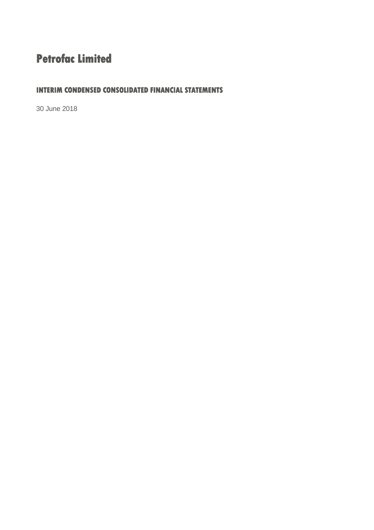# **Petrofac Limited**

## **INTERIM CONDENSED CONSOLIDATED FINANCIAL STATEMENTS**

30 June 2018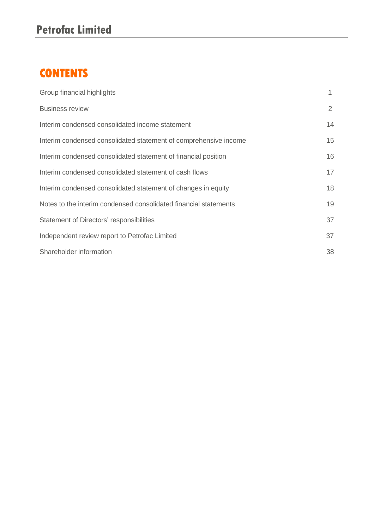# **CONTENTS**

| Group financial highlights                                       |    |
|------------------------------------------------------------------|----|
| <b>Business review</b>                                           | 2  |
| Interim condensed consolidated income statement                  | 14 |
| Interim condensed consolidated statement of comprehensive income | 15 |
| Interim condensed consolidated statement of financial position   | 16 |
| Interim condensed consolidated statement of cash flows           | 17 |
| Interim condensed consolidated statement of changes in equity    | 18 |
| Notes to the interim condensed consolidated financial statements | 19 |
| Statement of Directors' responsibilities                         | 37 |
| Independent review report to Petrofac Limited                    | 37 |
| Shareholder information                                          | 38 |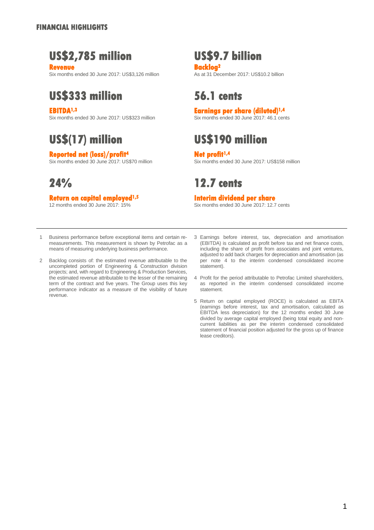# **US\$2,785 million US\$9.7 billion**

**Revenue**<br> **Backlog<sup>2</sup><br>
Six months ended 30 June 2017: US\$3.126 million<br>
As at 31 December 2017: US\$10.2 billion** Six months ended 30 June 2017: US\$3,126 million

# **US\$333 million 56.1 cents**

**EBITDA1,3 Earnings per share (diluted)1,4** Six months ended 30 June 2017: US\$323 million

# **Reported net (loss)/profit<sup>4</sup><br>
Six months ended 30 June 2017: US\$70 million Six months ende**

# **Return on capital employed1,5 Interim dividend per share**

# **US\$(17) million US\$190 million**

Six months ended 30 June 2017: US\$158 million

# **24% 12.7 cents**

Six months ended 30 June 2017: 12.7 cents

- 1 Business performance before exceptional items and certain remeasurements. This measurement is shown by Petrofac as a means of measuring underlying business performance.
- $\mathcal{D}$ Backlog consists of: the estimated revenue attributable to the uncompleted portion of Engineering & Construction division projects; and, with regard to Engineering & Production Services, the estimated revenue attributable to the lesser of the remaining term of the contract and five years. The Group uses this key performance indicator as a measure of the visibility of future revenue.
- 3 Earnings before interest, tax, depreciation and amortisation (EBITDA) is calculated as profit before tax and net finance costs, including the share of profit from associates and joint ventures, adjusted to add back charges for depreciation and amortisation (as per note 4 to the interim condensed consolidated income statement).
- 4 Profit for the period attributable to Petrofac Limited shareholders, as reported in the interim condensed consolidated income statement.
- 5 Return on capital employed (ROCE) is calculated as EBITA (earnings before interest, tax and amortisation, calculated as EBITDA less depreciation) for the 12 months ended 30 June divided by average capital employed (being total equity and noncurrent liabilities as per the interim condensed consolidated statement of financial position adjusted for the gross up of finance lease creditors).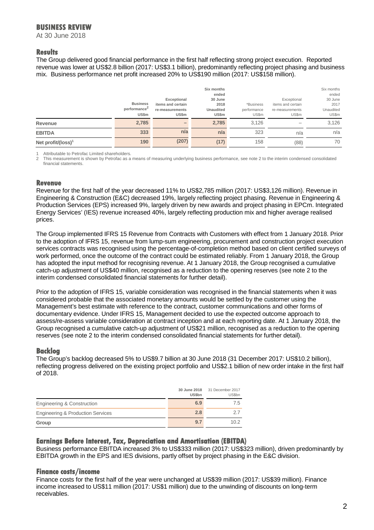At 30 June 2018

### **Results**

The Group delivered good financial performance in the first half reflecting strong project execution. Reported revenue was lower at US\$2.8 billion (2017: US\$3.1 billion), predominantly reflecting project phasing and business mix. Business performance net profit increased 20% to US\$190 million (2017: US\$158 million).

|                                | <b>Business</b><br>performance <sup>2</sup><br>US\$m | Exceptional<br>items and certain<br>re-measurements<br><b>US\$m</b> | Six months<br>ended<br>30 June<br>2018<br>Unaudited<br>US\$m | *Business<br>performance<br>US\$m | Exceptional<br>items and certain<br>re-measurements<br>US\$m | Six months<br>ended<br>30 June<br>2017<br>Unaudited<br>US\$m |
|--------------------------------|------------------------------------------------------|---------------------------------------------------------------------|--------------------------------------------------------------|-----------------------------------|--------------------------------------------------------------|--------------------------------------------------------------|
| Revenue                        | 2,785                                                | -                                                                   | 2.785                                                        | 3.126                             | -                                                            | 3,126                                                        |
| <b>EBITDA</b>                  | 333                                                  | n/a                                                                 | n/a                                                          | 323                               | n/a                                                          | n/a                                                          |
| Net profit/(loss) <sup>1</sup> | 190                                                  | (207)                                                               | (17)                                                         | 158                               | (88)                                                         | 70                                                           |

Attributable to Petrofac Limited shareholders.

2 This measurement is shown by Petrofac as a means of measuring underlying business performance, see note 2 to the interim condensed consolidated financial statements.

### **Revenue**

Revenue for the first half of the year decreased 11% to US\$2,785 million (2017: US\$3,126 million). Revenue in Engineering & Construction (E&C) decreased 19%, largely reflecting project phasing. Revenue in Engineering & Production Services (EPS) increased 9%, largely driven by new awards and project phasing in EPCm. Integrated Energy Services' (IES) revenue increased 40%, largely reflecting production mix and higher average realised prices.

The Group implemented IFRS 15 Revenue from Contracts with Customers with effect from 1 January 2018. Prior to the adoption of IFRS 15, revenue from lump-sum engineering, procurement and construction project execution services contracts was recognised using the percentage-of-completion method based on client certified surveys of work performed, once the outcome of the contract could be estimated reliably. From 1 January 2018, the Group has adopted the input method for recognising revenue. At 1 January 2018, the Group recognised a cumulative catch-up adjustment of US\$40 million, recognised as a reduction to the opening reserves (see note 2 to the interim condensed consolidated financial statements for further detail).

Prior to the adoption of IFRS 15, variable consideration was recognised in the financial statements when it was considered probable that the associated monetary amounts would be settled by the customer using the Management's best estimate with reference to the contract, customer communications and other forms of documentary evidence. Under IFRS 15, Management decided to use the expected outcome approach to assess/re-assess variable consideration at contract inception and at each reporting date. At 1 January 2018, the Group recognised a cumulative catch-up adjustment of US\$21 million, recognised as a reduction to the opening reserves (see note 2 to the interim condensed consolidated financial statements for further detail).

### **Backlog**

The Group's backlog decreased 5% to US\$9.7 billion at 30 June 2018 (31 December 2017: US\$10.2 billion), reflecting progress delivered on the existing project portfolio and US\$2.1 billion of new order intake in the first half of 2018.

|                                              | 30 June 2018<br><b>US\$bn</b> | 31 December 2017<br>US\$bn |
|----------------------------------------------|-------------------------------|----------------------------|
| Engineering & Construction                   | 6.9                           | 7.5                        |
| <b>Engineering &amp; Production Services</b> | 2.8                           | 27                         |
| Group                                        | 9.7                           | 10.2                       |

### **Earnings Before Interest, Tax, Depreciation and Amortisation (EBITDA)**

Business performance EBITDA increased 3% to US\$333 million (2017: US\$323 million), driven predominantly by EBITDA growth in the EPS and IES divisions, partly offset by project phasing in the E&C division.

### **Finance costs/income**

Finance costs for the first half of the year were unchanged at US\$39 million (2017: US\$39 million). Finance income increased to US\$11 million (2017: US\$1 million) due to the unwinding of discounts on long-term receivables.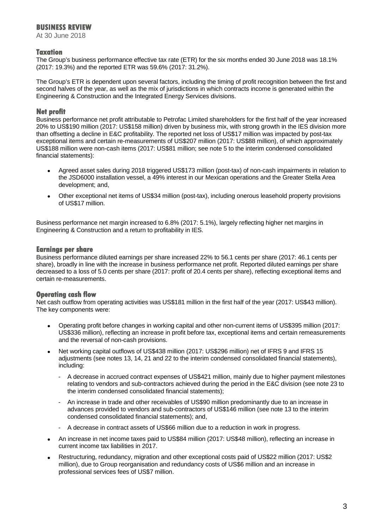At 30 June 2018

### **Taxation**

The Group's business performance effective tax rate (ETR) for the six months ended 30 June 2018 was 18.1% (2017: 19.3%) and the reported ETR was 59.6% (2017: 31.2%).

The Group's ETR is dependent upon several factors, including the timing of profit recognition between the first and second halves of the year, as well as the mix of jurisdictions in which contracts income is generated within the Engineering & Construction and the Integrated Energy Services divisions.

### **Net profit**

Business performance net profit attributable to Petrofac Limited shareholders for the first half of the year increased 20% to US\$190 million (2017: US\$158 million) driven by business mix, with strong growth in the IES division more than offsetting a decline in E&C profitability. The reported net loss of US\$17 million was impacted by post-tax exceptional items and certain re-measurements of US\$207 million (2017: US\$88 million), of which approximately US\$188 million were non-cash items (2017: US\$81 million; see note 5 to the interim condensed consolidated financial statements):

- Agreed asset sales during 2018 triggered US\$173 million (post-tax) of non-cash impairments in relation to the JSD6000 installation vessel, a 49% interest in our Mexican operations and the Greater Stella Area development; and,
- Other exceptional net items of US\$34 million (post-tax), including onerous leasehold property provisions of US\$17 million.

Business performance net margin increased to 6.8% (2017: 5.1%), largely reflecting higher net margins in Engineering & Construction and a return to profitability in IES.

### **Earnings per share**

Business performance diluted earnings per share increased 22% to 56.1 cents per share (2017: 46.1 cents per share), broadly in line with the increase in business performance net profit. Reported diluted earnings per share decreased to a loss of 5.0 cents per share (2017: profit of 20.4 cents per share), reflecting exceptional items and certain re-measurements.

### **Operating cash flow**

Net cash outflow from operating activities was US\$181 million in the first half of the year (2017: US\$43 million). The key components were:

- Operating profit before changes in working capital and other non-current items of US\$395 million (2017: US\$336 million), reflecting an increase in profit before tax, exceptional items and certain remeasurements and the reversal of non-cash provisions.
- Net working capital outflows of US\$438 million (2017: US\$296 million) net of IFRS 9 and IFRS 15 adjustments (see notes 13, 14, 21 and 22 to the interim condensed consolidated financial statements), including:
	- A decrease in accrued contract expenses of US\$421 million, mainly due to higher payment milestones relating to vendors and sub-contractors achieved during the period in the E&C division (see note 23 to the interim condensed consolidated financial statements);
	- An increase in trade and other receivables of US\$90 million predominantly due to an increase in advances provided to vendors and sub-contractors of US\$146 million (see note 13 to the interim condensed consolidated financial statements); and,
	- A decrease in contract assets of US\$66 million due to a reduction in work in progress.
- An increase in net income taxes paid to US\$84 million (2017: US\$48 million), reflecting an increase in current income tax liabilities in 2017.
- Restructuring, redundancy, migration and other exceptional costs paid of US\$22 million (2017: US\$2 million), due to Group reorganisation and redundancy costs of US\$6 million and an increase in professional services fees of US\$7 million.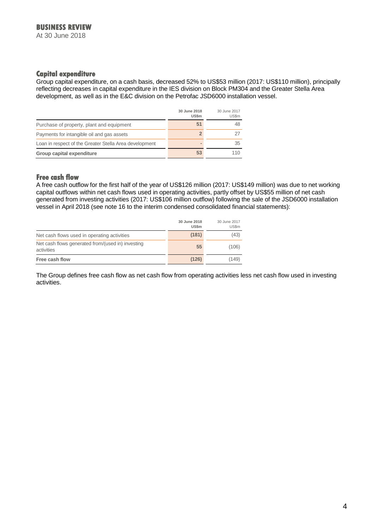At 30 June 2018

### **Capital expenditure**

Group capital expenditure, on a cash basis, decreased 52% to US\$53 million (2017: US\$110 million), principally reflecting decreases in capital expenditure in the IES division on Block PM304 and the Greater Stella Area development, as well as in the E&C division on the Petrofac JSD6000 installation vessel.

|                                                        | 30 June 2018<br><b>US\$m</b> | 30 June 2017<br>US\$m |
|--------------------------------------------------------|------------------------------|-----------------------|
| Purchase of property, plant and equipment              | 51                           | 48                    |
| Payments for intangible oil and gas assets             |                              |                       |
| Loan in respect of the Greater Stella Area development |                              | 35                    |
| Group capital expenditure                              | 53                           |                       |

### **Free cash flow**

A free cash outflow for the first half of the year of US\$126 million (2017: US\$149 million) was due to net working capital outflows within net cash flows used in operating activities, partly offset by US\$55 million of net cash generated from investing activities (2017: US\$106 million outflow) following the sale of the JSD6000 installation vessel in April 2018 (see note 16 to the interim condensed consolidated financial statements):

|                                                                 | 30 June 2018<br><b>US\$m</b> | 30 June 2017<br><b>US\$m</b> |
|-----------------------------------------------------------------|------------------------------|------------------------------|
| Net cash flows used in operating activities                     | (181)                        | (43)                         |
| Net cash flows generated from/(used in) investing<br>activities | 55                           | (106)                        |
| Free cash flow                                                  | (126)                        | (149)                        |

The Group defines free cash flow as net cash flow from operating activities less net cash flow used in investing activities.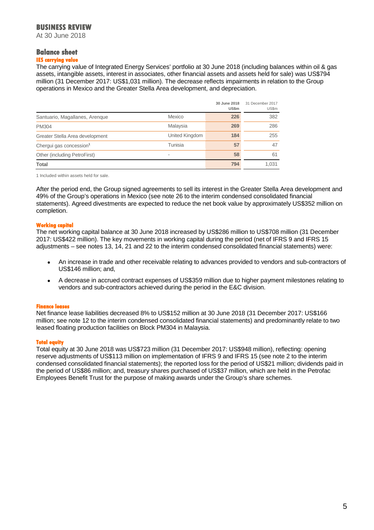At 30 June 2018

### **Balance sheet**

### **IES carrying value**

The carrying value of Integrated Energy Services' portfolio at 30 June 2018 (including balances within oil & gas assets, intangible assets, interest in associates, other financial assets and assets held for sale) was US\$794 million (31 December 2017: US\$1,031 million). The decrease reflects impairments in relation to the Group operations in Mexico and the Greater Stella Area development, and depreciation.

|                                     |                | 30 June 2018<br>US\$m | 31 December 2017<br>US\$m |
|-------------------------------------|----------------|-----------------------|---------------------------|
| Santuario, Magallanes, Arenque      | Mexico         | 226                   | 382                       |
| <b>PM304</b>                        | Malaysia       | 269                   | 286                       |
| Greater Stella Area development     | United Kingdom | 184                   | 255                       |
| Chergui gas concession <sup>1</sup> | Tunisia        | 57                    | 47                        |
| Other (including PetroFirst)        |                | 58                    | 61                        |
| Total                               |                | 794                   | 1.031                     |

1 Included within assets held for sale.

After the period end, the Group signed agreements to sell its interest in the Greater Stella Area development and 49% of the Group's operations in Mexico (see note 26 to the interim condensed consolidated financial statements). Agreed divestments are expected to reduce the net book value by approximately US\$352 million on completion.

### **Working capital**

The net working capital balance at 30 June 2018 increased by US\$286 million to US\$708 million (31 December 2017: US\$422 million). The key movements in working capital during the period (net of IFRS 9 and IFRS 15 adjustments – see notes 13, 14, 21 and 22 to the interim condensed consolidated financial statements) were:

- An increase in trade and other receivable relating to advances provided to vendors and sub-contractors of US\$146 million; and,
- A decrease in accrued contract expenses of US\$359 million due to higher payment milestones relating to vendors and sub-contractors achieved during the period in the E&C division.

#### **Finance leas**

Net finance lease liabilities decreased 8% to US\$152 million at 30 June 2018 (31 December 2017: US\$166 million; see note 12 to the interim condensed consolidated financial statements) and predominantly relate to two leased floating production facilities on Block PM304 in Malaysia.

#### **Total equity**

Total equity at 30 June 2018 was US\$723 million (31 December 2017: US\$948 million), reflecting: opening reserve adjustments of US\$113 million on implementation of IFRS 9 and IFRS 15 (see note 2 to the interim condensed consolidated financial statements); the reported loss for the period of US\$21 million; dividends paid in the period of US\$86 million; and, treasury shares purchased of US\$37 million, which are held in the Petrofac Employees Benefit Trust for the purpose of making awards under the Group's share schemes.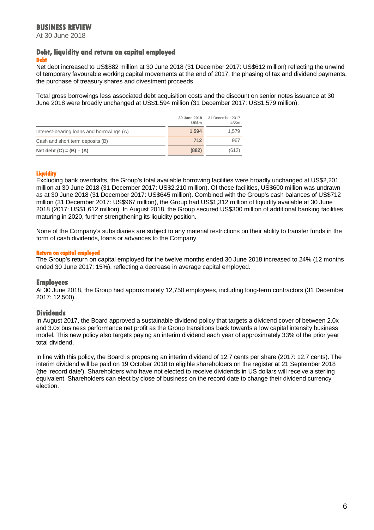At 30 June 2018

#### **Debt, liquidity and return on capital employed Debt**

Net debt increased to US\$882 million at 30 June 2018 (31 December 2017: US\$612 million) reflecting the unwind of temporary favourable working capital movements at the end of 2017, the phasing of tax and dividend payments, the purchase of treasury shares and divestment proceeds.

Total gross borrowings less associated debt acquisition costs and the discount on senior notes issuance at 30 June 2018 were broadly unchanged at US\$1,594 million (31 December 2017: US\$1,579 million).

|                                           | 30 June 2018<br>US\$m | 31 December 2017<br>US\$m |
|-------------------------------------------|-----------------------|---------------------------|
| Interest-bearing loans and borrowings (A) | 1.594                 | 1.579                     |
| Cash and short term deposits (B)          | 712                   | 967                       |
| Net debt $(C) = (B) - (A)$                | (882)                 | (612)                     |

### **Liquidity**

Excluding bank overdrafts, the Group's total available borrowing facilities were broadly unchanged at US\$2,201 million at 30 June 2018 (31 December 2017: US\$2,210 million). Of these facilities, US\$600 million was undrawn as at 30 June 2018 (31 December 2017: US\$645 million). Combined with the Group's cash balances of US\$712 million (31 December 2017: US\$967 million), the Group had US\$1,312 million of liquidity available at 30 June 2018 (2017: US\$1,612 million). In August 2018, the Group secured US\$300 million of additional banking facilities maturing in 2020, further strengthening its liquidity position.

None of the Company's subsidiaries are subject to any material restrictions on their ability to transfer funds in the form of cash dividends, loans or advances to the Company.

#### **Return on capital employed**

The Group's return on capital employed for the twelve months ended 30 June 2018 increased to 24% (12 months ended 30 June 2017: 15%), reflecting a decrease in average capital employed.

### **Employees**

At 30 June 2018, the Group had approximately 12,750 employees, including long-term contractors (31 December 2017: 12,500).

### **Dividends**

In August 2017, the Board approved a sustainable dividend policy that targets a dividend cover of between 2.0x and 3.0x business performance net profit as the Group transitions back towards a low capital intensity business model. This new policy also targets paying an interim dividend each year of approximately 33% of the prior year total dividend.

In line with this policy, the Board is proposing an interim dividend of 12.7 cents per share (2017: 12.7 cents). The interim dividend will be paid on 19 October 2018 to eligible shareholders on the register at 21 September 2018 (the 'record date'). Shareholders who have not elected to receive dividends in US dollars will receive a sterling equivalent. Shareholders can elect by close of business on the record date to change their dividend currency election.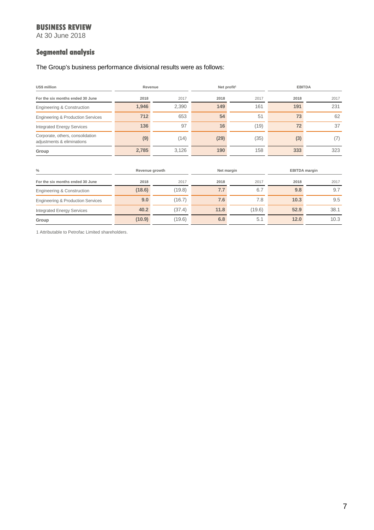At 30 June 2018

## **Segmental analysis**

The Group's business performance divisional results were as follows:

| <b>US\$ million</b>                                            | Revenue        |        |      | Net profit <sup>1</sup>            |      | <b>EBITDA</b> |  |
|----------------------------------------------------------------|----------------|--------|------|------------------------------------|------|---------------|--|
| For the six months ended 30 June                               | 2018           | 2017   | 2018 | 2017                               | 2018 | 2017          |  |
| Engineering & Construction                                     | 1,946          | 2,390  | 149  | 161                                | 191  | 231           |  |
| <b>Engineering &amp; Production Services</b>                   | 712            | 653    | 54   | 51                                 | 73   | 62            |  |
| <b>Integrated Energy Services</b>                              | 136            | 97     | 16   | (19)                               | 72   | 37            |  |
| Corporate, others, consolidation<br>adjustments & eliminations | (9)            | (14)   | (29) | (35)                               | (3)  | (7)           |  |
| Group                                                          | 2,785          | 3,126  | 190  | 158                                | 333  | 323           |  |
|                                                                |                |        |      |                                    |      |               |  |
| $\frac{0}{0}$                                                  | Revenue growth |        |      | <b>EBITDA</b> margin<br>Net margin |      |               |  |
| For the six months ended 30 June                               | 2018           | 2017   | 2018 | 2017                               | 2018 | 2017          |  |
| Engineering & Construction                                     | (18.6)         | (19.8) | 7.7  | 6.7                                | 9.8  | 9.7           |  |
| <b>Engineering &amp; Production Services</b>                   | 9.0            | (16.7) | 7.6  | 7.8                                | 10.3 | 9.5           |  |
| <b>Integrated Energy Services</b>                              | 40.2           | (37.4) | 11.8 | (19.6)                             | 52.9 | 38.1          |  |
| Group                                                          | (10.9)         | (19.6) | 6.8  | 5.1                                | 12.0 | 10.3          |  |

1 Attributable to Petrofac Limited shareholders.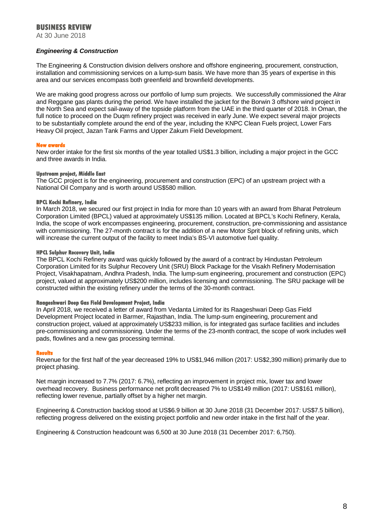At 30 June 2018

### *Engineering & Construction*

The Engineering & Construction division delivers onshore and offshore engineering, procurement, construction, installation and commissioning services on a lump-sum basis. We have more than 35 years of expertise in this area and our services encompass both greenfield and brownfield developments.

We are making good progress across our portfolio of lump sum projects. We successfully commissioned the Alrar and Reggane gas plants during the period. We have installed the jacket for the Borwin 3 offshore wind project in the North Sea and expect sail-away of the topside platform from the UAE in the third quarter of 2018. In Oman, the full notice to proceed on the Duqm refinery project was received in early June. We expect several major projects to be substantially complete around the end of the year, including the KNPC Clean Fuels project, Lower Fars Heavy Oil project, Jazan Tank Farms and Upper Zakum Field Development.

#### **New awards**

New order intake for the first six months of the year totalled US\$1.3 billion, including a major project in the GCC and three awards in India.

#### **Upstream project, Middle East**

The GCC project is for the engineering, procurement and construction (EPC) of an upstream project with a National Oil Company and is worth around US\$580 million.

#### **BPCL Kochi Refinery, India**

In March 2018, we secured our first project in India for more than 10 years with an award from Bharat Petroleum Corporation Limited (BPCL) valued at approximately US\$135 million. Located at BPCL's Kochi Refinery, Kerala, India, the scope of work encompasses engineering, procurement, construction, pre-commissioning and assistance with commissioning. The 27-month contract is for the addition of a new Motor Sprit block of refining units, which will increase the current output of the facility to meet India's BS-VI automotive fuel quality.

#### **HPCL Sulphur Recovery Unit, India**

The BPCL Kochi Refinery award was quickly followed by the award of a contract by Hindustan Petroleum Corporation Limited for its Sulphur Recovery Unit (SRU) Block Package for the Visakh Refinery Modernisation Project, Visakhapatnam, Andhra Pradesh, India. The lump-sum engineering, procurement and construction (EPC) project, valued at approximately US\$200 million, includes licensing and commissioning. The SRU package will be constructed within the existing refinery under the terms of the 30-month contract.

#### **Raageshwari Deep Gas Field Development Project, India**

In April 2018, we received a letter of award from Vedanta Limited for its Raageshwari Deep Gas Field Development Project located in Barmer, Rajasthan, India. The lump-sum engineering, procurement and construction project, valued at approximately US\$233 million, is for integrated gas surface facilities and includes pre-commissioning and commissioning. Under the terms of the 23-month contract, the scope of work includes well pads, flowlines and a new gas processing terminal.

#### **Results**

Revenue for the first half of the year decreased 19% to US\$1,946 million (2017: US\$2,390 million) primarily due to project phasing.

Net margin increased to 7.7% (2017: 6.7%), reflecting an improvement in project mix, lower tax and lower overhead recovery. Business performance net profit decreased 7% to US\$149 million (2017: US\$161 million), reflecting lower revenue, partially offset by a higher net margin.

Engineering & Construction backlog stood at US\$6.9 billion at 30 June 2018 (31 December 2017: US\$7.5 billion), reflecting progress delivered on the existing project portfolio and new order intake in the first half of the year.

Engineering & Construction headcount was 6,500 at 30 June 2018 (31 December 2017: 6,750).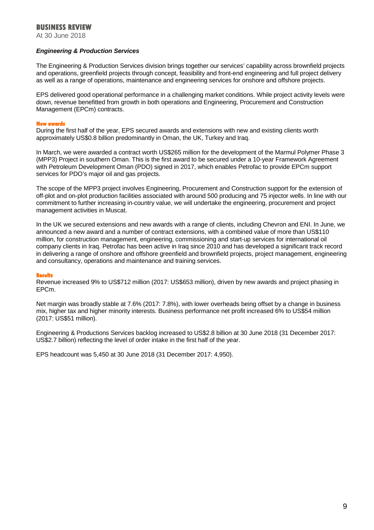At 30 June 2018

### *Engineering & Production Services*

The Engineering & Production Services division brings together our services' capability across brownfield projects and operations, greenfield projects through concept, feasibility and front-end engineering and full project delivery as well as a range of operations, maintenance and engineering services for onshore and offshore projects.

EPS delivered good operational performance in a challenging market conditions. While project activity levels were down, revenue benefitted from growth in both operations and Engineering, Procurement and Construction Management (EPCm) contracts.

#### **New awards**

During the first half of the year, EPS secured awards and extensions with new and existing clients worth approximately US\$0.8 billion predominantly in Oman, the UK, Turkey and Iraq.

In March, we were awarded a contract worth US\$265 million for the development of the Marmul Polymer Phase 3 (MPP3) Project in southern Oman. This is the first award to be secured under a 10-year Framework Agreement with Petroleum Development Oman (PDO) signed in 2017, which enables Petrofac to provide EPCm support services for PDO's major oil and gas projects.

The scope of the MPP3 project involves Engineering, Procurement and Construction support for the extension of off-plot and on-plot production facilities associated with around 500 producing and 75 injector wells. In line with our commitment to further increasing in-country value, we will undertake the engineering, procurement and project management activities in Muscat.

In the UK we secured extensions and new awards with a range of clients, including Chevron and ENI. In June, we announced a new award and a number of contract extensions, with a combined value of more than US\$110 million, for construction management, engineering, commissioning and start-up services for international oil company clients in Iraq. Petrofac has been active in Iraq since 2010 and has developed a significant track record in delivering a range of onshore and offshore greenfield and brownfield projects, project management, engineering and consultancy, operations and maintenance and training services.

#### **Results**

Revenue increased 9% to US\$712 million (2017: US\$653 million), driven by new awards and project phasing in EPCm.

Net margin was broadly stable at 7.6% (2017: 7.8%), with lower overheads being offset by a change in business mix, higher tax and higher minority interests. Business performance net profit increased 6% to US\$54 million (2017: US\$51 million).

Engineering & Productions Services backlog increased to US\$2.8 billion at 30 June 2018 (31 December 2017: US\$2.7 billion) reflecting the level of order intake in the first half of the year.

EPS headcount was 5,450 at 30 June 2018 (31 December 2017: 4,950).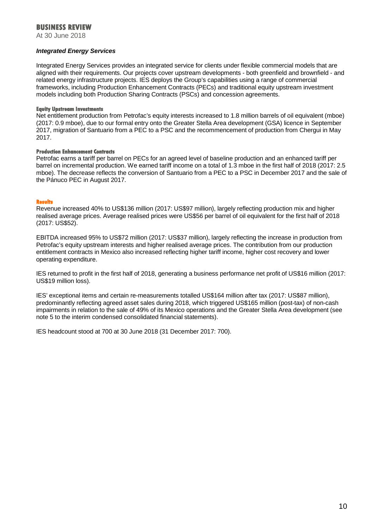At 30 June 2018

#### *Integrated Energy Services*

Integrated Energy Services provides an integrated service for clients under flexible commercial models that are aligned with their requirements. Our projects cover upstream developments - both greenfield and brownfield - and related energy infrastructure projects. IES deploys the Group's capabilities using a range of commercial frameworks, including Production Enhancement Contracts (PECs) and traditional equity upstream investment models including both Production Sharing Contracts (PSCs) and concession agreements.

#### **Equity Upstream Investments**

Net entitlement production from Petrofac's equity interests increased to 1.8 million barrels of oil equivalent (mboe) (2017: 0.9 mboe), due to our formal entry onto the Greater Stella Area development (GSA) licence in September 2017, migration of Santuario from a PEC to a PSC and the recommencement of production from Chergui in May 2017.

#### **Production Enhancement Contracts**

Petrofac earns a tariff per barrel on PECs for an agreed level of baseline production and an enhanced tariff per barrel on incremental production. We earned tariff income on a total of 1.3 mboe in the first half of 2018 (2017: 2.5 mboe). The decrease reflects the conversion of Santuario from a PEC to a PSC in December 2017 and the sale of the Pánuco PEC in August 2017.

#### **Results**

Revenue increased 40% to US\$136 million (2017: US\$97 million), largely reflecting production mix and higher realised average prices. Average realised prices were US\$56 per barrel of oil equivalent for the first half of 2018 (2017: US\$52).

EBITDA increased 95% to US\$72 million (2017: US\$37 million), largely reflecting the increase in production from Petrofac's equity upstream interests and higher realised average prices. The contribution from our production entitlement contracts in Mexico also increased reflecting higher tariff income, higher cost recovery and lower operating expenditure.

IES returned to profit in the first half of 2018, generating a business performance net profit of US\$16 million (2017: US\$19 million loss).

IES' exceptional items and certain re-measurements totalled US\$164 million after tax (2017: US\$87 million), predominantly reflecting agreed asset sales during 2018, which triggered US\$165 million (post-tax) of non-cash impairments in relation to the sale of 49% of its Mexico operations and the Greater Stella Area development (see note 5 to the interim condensed consolidated financial statements).

IES headcount stood at 700 at 30 June 2018 (31 December 2017: 700).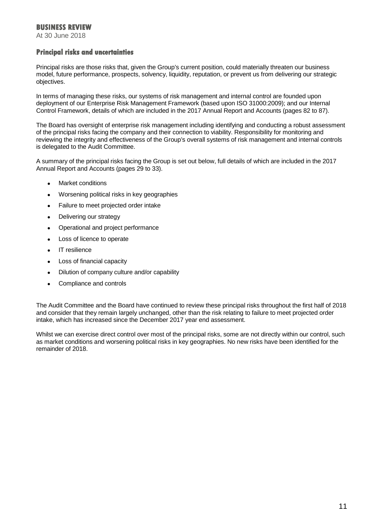At 30 June 2018

### **Principal risks and uncertainties**

Principal risks are those risks that, given the Group's current position, could materially threaten our business model, future performance, prospects, solvency, liquidity, reputation, or prevent us from delivering our strategic objectives.

In terms of managing these risks, our systems of risk management and internal control are founded upon deployment of our Enterprise Risk Management Framework (based upon ISO 31000:2009); and our Internal Control Framework, details of which are included in the 2017 Annual Report and Accounts (pages 82 to 87).

The Board has oversight of enterprise risk management including identifying and conducting a robust assessment of the principal risks facing the company and their connection to viability. Responsibility for monitoring and reviewing the integrity and effectiveness of the Group's overall systems of risk management and internal controls is delegated to the Audit Committee.

A summary of the principal risks facing the Group is set out below, full details of which are included in the 2017 Annual Report and Accounts (pages 29 to 33).

- Market conditions
- Worsening political risks in key geographies
- Failure to meet projected order intake
- Delivering our strategy
- Operational and project performance
- Loss of licence to operate
- IT resilience
- Loss of financial capacity
- Dilution of company culture and/or capability
- Compliance and controls

The Audit Committee and the Board have continued to review these principal risks throughout the first half of 2018 and consider that they remain largely unchanged, other than the risk relating to failure to meet projected order intake, which has increased since the December 2017 year end assessment.

Whilst we can exercise direct control over most of the principal risks, some are not directly within our control, such as market conditions and worsening political risks in key geographies. No new risks have been identified for the remainder of 2018.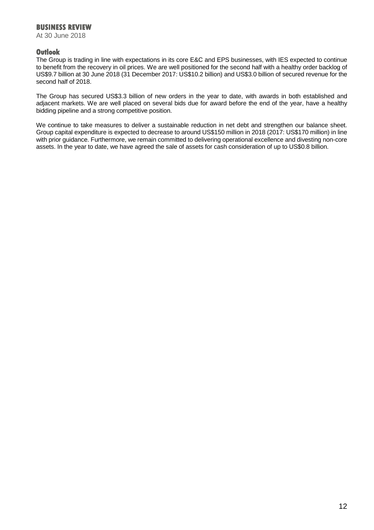At 30 June 2018

### **Outlook**

The Group is trading in line with expectations in its core E&C and EPS businesses, with IES expected to continue to benefit from the recovery in oil prices. We are well positioned for the second half with a healthy order backlog of US\$9.7 billion at 30 June 2018 (31 December 2017: US\$10.2 billion) and US\$3.0 billion of secured revenue for the second half of 2018.

The Group has secured US\$3.3 billion of new orders in the year to date, with awards in both established and adjacent markets. We are well placed on several bids due for award before the end of the year, have a healthy bidding pipeline and a strong competitive position.

We continue to take measures to deliver a sustainable reduction in net debt and strengthen our balance sheet. Group capital expenditure is expected to decrease to around US\$150 million in 2018 (2017: US\$170 million) in line with prior guidance. Furthermore, we remain committed to delivering operational excellence and divesting non-core assets. In the year to date, we have agreed the sale of assets for cash consideration of up to US\$0.8 billion.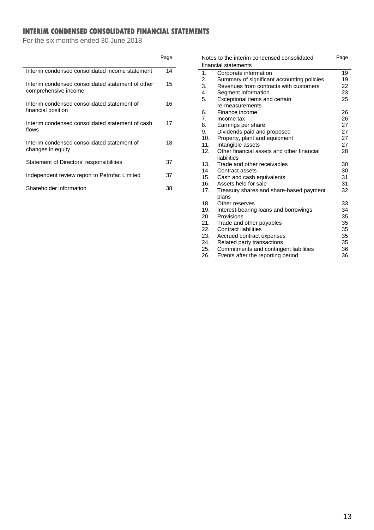## **INTERIM CONDENSED CONSOLIDATED FINANCIAL STATEMENTS**

For the six months ended 30 June 2018

|                                                                           | Page |
|---------------------------------------------------------------------------|------|
| Interim condensed consolidated income statement                           | 14   |
| Interim condensed consolidated statement of other<br>comprehensive income | 15   |
| Interim condensed consolidated statement of<br>financial position         | 16   |
| Interim condensed consolidated statement of cash<br>flows                 | 17   |
| Interim condensed consolidated statement of<br>changes in equity          | 18   |
| Statement of Directors' responsibilities                                  | 37   |
| Independent review report to Petrofac Limited                             | 37   |
| Shareholder information                                                   | 38   |

| Notes to the interim condensed consolidated |                                            |    |  |  |
|---------------------------------------------|--------------------------------------------|----|--|--|
|                                             | financial statements                       |    |  |  |
| 1.                                          | Corporate information                      | 19 |  |  |
| 2.                                          | Summary of significant accounting policies | 19 |  |  |
| 3.                                          | Revenues from contracts with customers     | 22 |  |  |
| 4.                                          | Segment information                        | 23 |  |  |
| 5.                                          | Exceptional items and certain              | 25 |  |  |
|                                             | re-measurements                            |    |  |  |
| 6.                                          | Finance income                             | 26 |  |  |
| 7.                                          | Income tax                                 | 26 |  |  |
| 8.                                          | Earnings per share                         | 27 |  |  |
| 9.                                          | Dividends paid and proposed                | 27 |  |  |
| 10.                                         | Property, plant and equipment              | 27 |  |  |
| 11.                                         | Intangible assets                          | 27 |  |  |
| 12.                                         | Other financial assets and other financial | 28 |  |  |
|                                             | liabilities                                |    |  |  |
| 13.                                         | Trade and other receivables                | 30 |  |  |
| 14.                                         | Contract assets                            | 30 |  |  |
| 15.                                         | Cash and cash equivalents                  | 31 |  |  |
| 16.                                         | Assets held for sale                       | 31 |  |  |
| 17.                                         | Treasury shares and share-based payment    | 32 |  |  |
|                                             | plans                                      |    |  |  |
| 18.                                         | Other reserves                             | 33 |  |  |
| 19.                                         | Interest-bearing loans and borrowings      | 34 |  |  |
| 20.                                         | Provisions                                 | 35 |  |  |
| 21.                                         | Trade and other payables                   | 35 |  |  |
| 22.                                         | <b>Contract liabilities</b>                | 35 |  |  |
| 23.                                         | Accrued contract expenses                  | 35 |  |  |
| 24.                                         | Related party transactions                 | 35 |  |  |
| 25.                                         | Commitments and contingent liabilities     | 36 |  |  |
| 26.                                         | Events after the reporting period          | 36 |  |  |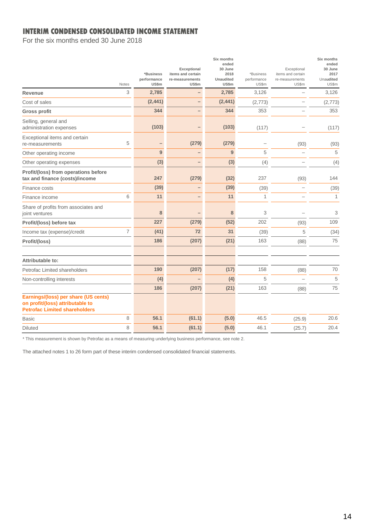### **INTERIM CONDENSED CONSOLIDATED INCOME STATEMENT**

For the six months ended 30 June 2018

|                                                                                                                  | <b>Notes</b> | *Business<br>performance<br>US\$m | Exceptional<br>items and certain<br>re-measurements<br><b>US\$m</b> | Six months<br>ended<br>30 June<br>2018<br>Unaudited<br>US\$m | *Business<br>performance<br>US\$m | Exceptional<br>items and certain<br>re-measurements<br><b>US\$m</b> | Six months<br>ended<br>30 June<br>2017<br>Unaudited<br>US\$m |
|------------------------------------------------------------------------------------------------------------------|--------------|-----------------------------------|---------------------------------------------------------------------|--------------------------------------------------------------|-----------------------------------|---------------------------------------------------------------------|--------------------------------------------------------------|
| Revenue                                                                                                          | 3            | 2,785                             |                                                                     | 2,785                                                        | 3,126                             | L.                                                                  | 3,126                                                        |
| Cost of sales                                                                                                    |              | (2, 441)                          | $\overline{\phantom{0}}$                                            | (2, 441)                                                     | (2,773)                           |                                                                     | (2,773)                                                      |
| <b>Gross profit</b>                                                                                              |              | 344                               |                                                                     | 344                                                          | 353                               |                                                                     | 353                                                          |
| Selling, general and<br>administration expenses                                                                  |              | (103)                             |                                                                     | (103)                                                        | (117)                             |                                                                     | (117)                                                        |
| Exceptional items and certain<br>re-measurements                                                                 | 5            | -                                 | (279)                                                               | (279)                                                        |                                   | (93)                                                                | (93)                                                         |
| Other operating income                                                                                           |              | 9                                 |                                                                     | 9                                                            | 5                                 | $\overline{\phantom{0}}$                                            | 5                                                            |
| Other operating expenses                                                                                         |              | (3)                               |                                                                     | (3)                                                          | (4)                               | $\overline{\phantom{a}}$                                            | (4)                                                          |
| Profit/(loss) from operations before<br>tax and finance (costs)/income                                           |              | 247                               | (279)                                                               | (32)                                                         | 237                               | (93)                                                                | 144                                                          |
| Finance costs                                                                                                    |              | (39)                              |                                                                     | (39)                                                         | (39)                              | $\overline{\phantom{0}}$                                            | (39)                                                         |
| Finance income                                                                                                   | 6            | 11                                |                                                                     | 11                                                           | $\mathbf{1}$                      | $\overline{\phantom{0}}$                                            | 1                                                            |
| Share of profits from associates and<br>joint ventures                                                           |              | 8                                 |                                                                     | 8                                                            | 3                                 |                                                                     | 3                                                            |
| Profit/(loss) before tax                                                                                         |              | 227                               | (279)                                                               | (52)                                                         | 202                               | (93)                                                                | 109                                                          |
| Income tax (expense)/credit                                                                                      | 7            | (41)                              | 72                                                                  | 31                                                           | (39)                              | 5                                                                   | (34)                                                         |
| Profit/(loss)                                                                                                    |              | 186                               | (207)                                                               | (21)                                                         | 163                               | (88)                                                                | 75                                                           |
| Attributable to:                                                                                                 |              |                                   |                                                                     |                                                              |                                   |                                                                     |                                                              |
| Petrofac Limited shareholders                                                                                    |              | 190                               | (207)                                                               | (17)                                                         | 158                               | (88)                                                                | 70                                                           |
| Non-controlling interests                                                                                        |              | (4)                               | $\overline{\phantom{0}}$                                            | (4)                                                          | 5                                 | $\overline{\phantom{a}}$                                            | 5                                                            |
|                                                                                                                  |              | 186                               | (207)                                                               | (21)                                                         | 163                               | (88)                                                                | 75                                                           |
| Earnings/(loss) per share (US cents)<br>on profit/(loss) attributable to<br><b>Petrofac Limited shareholders</b> |              |                                   |                                                                     |                                                              |                                   |                                                                     |                                                              |
| <b>Basic</b>                                                                                                     | 8            | 56.1                              | (61.1)                                                              | (5.0)                                                        | 46.5                              | (25.9)                                                              | 20.6                                                         |
| <b>Diluted</b>                                                                                                   | 8            | 56.1                              | (61.1)                                                              | (5.0)                                                        | 46.1                              | (25.7)                                                              | 20.4                                                         |

\* This measurement is shown by Petrofac as a means of measuring underlying business performance, see note 2.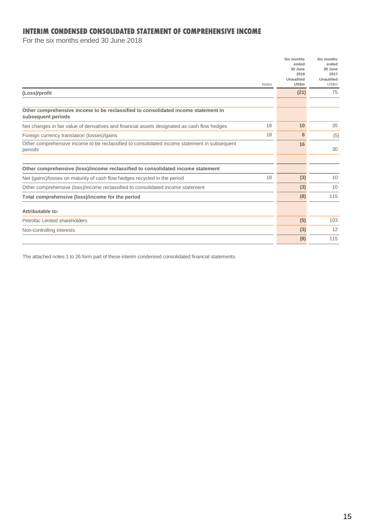### **INTERIM CONDENSED CONSOLIDATED STATEMENT OF COMPREHENSIVE INCOME**

For the six months ended 30 June 2018

|                                                                                                         |              | Six months<br>ended<br>30 June | Six months<br>ended<br>30 June |
|---------------------------------------------------------------------------------------------------------|--------------|--------------------------------|--------------------------------|
|                                                                                                         |              | 2018                           | 2017                           |
|                                                                                                         | <b>Notes</b> | Unaudited<br>US\$m             | Unaudited<br>US\$m             |
| (Loss)/profit                                                                                           |              | (21)                           | 75                             |
| Other comprehensive income to be reclassified to consolidated income statement in                       |              |                                |                                |
| subsequent periods                                                                                      |              |                                |                                |
| Net changes in fair value of derivatives and financial assets designated as cash flow hedges            | 18           | 10                             | 35                             |
| Foreign currency translation (losses)/gains                                                             | 18           | 6                              | (5)                            |
| Other comprehensive income to be reclassified to consolidated income statement in subsequent<br>periods |              | 16                             | 30                             |
|                                                                                                         |              |                                |                                |
| Other comprehensive (loss)/income reclassified to consolidated income statement                         |              |                                |                                |
| Net (gains)/losses on maturity of cash flow hedges recycled in the period                               | 18           | (3)                            | 10                             |
| Other comprehensive (loss)/income reclassified to consolidated income statement                         |              | (3)                            | 10                             |
| Total comprehensive (loss)/income for the period                                                        |              | (8)                            | 115                            |
| Attributable to:                                                                                        |              |                                |                                |
| Petrofac Limited shareholders                                                                           |              | (5)                            | 103                            |
| Non-controlling interests                                                                               |              | (3)                            | 12                             |
|                                                                                                         |              | (8)                            | 115                            |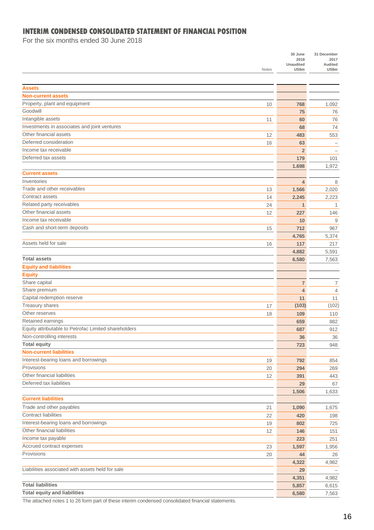## **INTERIM CONDENSED CONSOLIDATED STATEMENT OF FINANCIAL POSITION**

For the six months ended 30 June 2018

|                                                      |       | 30 June<br>2018 | 31 December<br>2017 |
|------------------------------------------------------|-------|-----------------|---------------------|
|                                                      |       | Unaudited       | Audited             |
|                                                      | Notes | US\$m           | US\$m               |
|                                                      |       |                 |                     |
| <b>Assets</b>                                        |       |                 |                     |
| <b>Non-current assets</b>                            |       |                 |                     |
| Property, plant and equipment                        | 10    | 768             | 1,092               |
| Goodwill                                             |       | 75              | 76                  |
| Intangible assets                                    | 11    | 60              | 76                  |
| Investments in associates and joint ventures         |       | 68              | 74                  |
| Other financial assets                               | 12    | 483             | 553                 |
| Deferred consideration                               | 16    | 63              |                     |
| Income tax receivable                                |       | $\overline{2}$  |                     |
| Deferred tax assets                                  |       | 179             | 101                 |
|                                                      |       | 1.698           | 1,972               |
| <b>Current assets</b>                                |       |                 |                     |
| Inventories                                          |       | 4               | 8                   |
| Trade and other receivables                          | 13    | 1,566           | 2,020               |
| Contract assets                                      | 14    | 2,245           | 2,223               |
| Related party receivables                            | 24    | $\mathbf{1}$    | 1                   |
| Other financial assets                               | 12    | 227             | 146                 |
| Income tax receivable                                |       | 10              | 9                   |
| Cash and short-term deposits                         | 15    | 712             | 967                 |
|                                                      |       | 4,765           | 5,374               |
| Assets held for sale                                 | 16    | 117             | 217                 |
|                                                      |       | 4,882           | 5,591               |
| <b>Total assets</b>                                  |       | 6,580           | 7,563               |
| <b>Equity and liabilities</b>                        |       |                 |                     |
| <b>Equity</b>                                        |       |                 |                     |
| Share capital                                        |       | 7               | 7                   |
| Share premium                                        |       | $\overline{4}$  | 4                   |
| Capital redemption reserve                           |       | 11              | 11                  |
| Treasury shares                                      | 17    | (103)           | (102)               |
| Other reserves                                       | 18    | 109             | 110                 |
| Retained earnings                                    |       | 659             | 882                 |
| Equity attributable to Petrofac Limited shareholders |       | 687             | 912                 |
| Non-controlling interests                            |       | 36              | 36                  |
| <b>Total equity</b>                                  |       | 723             | 948                 |
| <b>Non-current liabilities</b>                       |       |                 |                     |
| Interest-bearing loans and borrowings                | 19    | 792             | 854                 |
| Provisions                                           | 20    | 294             | 269                 |
| Other financial liabilities                          | 12    | 391             | 443                 |
| Deferred tax liabilities                             |       | 29              | 67                  |
| <b>Current liabilities</b>                           |       | 1,506           | 1,633               |
|                                                      |       |                 |                     |
| Trade and other payables                             | 21    | 1,090           | 1,675               |
| <b>Contract liabilities</b>                          | 22    | 420             | 198                 |
| Interest-bearing loans and borrowings                | 19    | 802             | 725                 |
| Other financial liabilities                          | 12    | 146             | 151                 |
| Income tax payable                                   |       | 223             | 251                 |
| Accrued contract expenses                            | 23    | 1,597           | 1,956               |
| Provisions                                           | 20    | 44              | 26                  |
|                                                      |       | 4,322           | 4,982               |
| Liabilities associated with assets held for sale     |       | 29              |                     |
|                                                      |       | 4,351           | 4,982               |
| <b>Total liabilities</b>                             |       | 5,857           | 6,615               |
| <b>Total equity and liabilities</b>                  |       | 6,580           | 7,563               |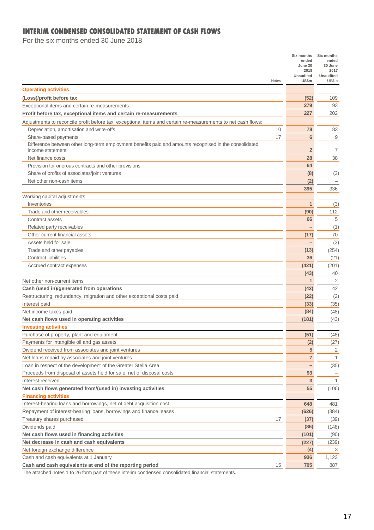## **INTERIM CONDENSED CONSOLIDATED STATEMENT OF CASH FLOWS**

For the six months ended 30 June 2018

| Notes                                                                                                                      | Six months<br>ended<br>June 30<br>2018<br><b>Unaudited</b><br>US\$m | Six months<br>ended<br>30 June<br>2017<br><b>Unaudited</b><br>US\$m |
|----------------------------------------------------------------------------------------------------------------------------|---------------------------------------------------------------------|---------------------------------------------------------------------|
| <b>Operating activities</b>                                                                                                |                                                                     |                                                                     |
| (Loss)/profit before tax                                                                                                   | (52)                                                                | 109                                                                 |
| Exceptional items and certain re-measurements                                                                              | 279                                                                 | 93                                                                  |
| Profit before tax, exceptional items and certain re-measurements                                                           | 227                                                                 | 202                                                                 |
| Adjustments to reconcile profit before tax, exceptional items and certain re-measurements to net cash flows:               |                                                                     |                                                                     |
| Depreciation, amortisation and write-offs<br>10                                                                            | 78                                                                  | 83                                                                  |
| 17<br>Share-based payments                                                                                                 | 6                                                                   | 9                                                                   |
| Difference between other long-term employment benefits paid and amounts recognised in the consolidated<br>income statement | $\overline{2}$                                                      | $\overline{7}$                                                      |
| Net finance costs                                                                                                          | 28                                                                  | 38                                                                  |
| Provision for onerous contracts and other provisions                                                                       | 64                                                                  | $-$                                                                 |
| Share of profits of associates/joint ventures                                                                              | (8)                                                                 | (3)                                                                 |
| Net other non-cash items                                                                                                   | (2)                                                                 | $\qquad \qquad -$                                                   |
|                                                                                                                            | 395                                                                 | 336                                                                 |
| Working capital adjustments:                                                                                               |                                                                     |                                                                     |
| Inventories                                                                                                                | $\mathbf{1}$                                                        | (3)                                                                 |
| Trade and other receivables                                                                                                | (90)                                                                | 112                                                                 |
| Contract assets                                                                                                            | 66                                                                  | 5                                                                   |
| Related party receivables                                                                                                  |                                                                     | (1)                                                                 |
| Other current financial assets                                                                                             | (17)                                                                | 70                                                                  |
| Assets held for sale                                                                                                       | -                                                                   | (3)                                                                 |
| Trade and other payables                                                                                                   | (13)                                                                | (254)                                                               |
| <b>Contract liabilities</b>                                                                                                | 36                                                                  | (21)                                                                |
| Accrued contract expenses                                                                                                  | (421)                                                               | (201)                                                               |
|                                                                                                                            | (43)                                                                | 40                                                                  |
| Net other non-current items                                                                                                | 1                                                                   | 2                                                                   |
| Cash (used in)/generated from operations                                                                                   | (42)                                                                | 42                                                                  |
| Restructuring, redundancy, migration and other exceptional costs paid                                                      | (22)                                                                | (2)                                                                 |
| Interest paid                                                                                                              | (33)                                                                | (35)                                                                |
| Net income taxes paid                                                                                                      | (84)                                                                | (48)                                                                |
| Net cash flows used in operating activities                                                                                | (181)                                                               | (43)                                                                |
| <b>Investing activities</b>                                                                                                |                                                                     |                                                                     |
| Purchase of property, plant and equipment                                                                                  | (51)                                                                | (48)                                                                |
| Payments for intangible oil and gas assets                                                                                 | (2)                                                                 | (27)                                                                |
| Dividend received from associates and joint ventures                                                                       | 5                                                                   | 2                                                                   |
| Net loans repaid by associates and joint ventures                                                                          | 7                                                                   | 1                                                                   |
| Loan in respect of the development of the Greater Stella Area                                                              | $\qquad \qquad -$                                                   | (35)                                                                |
| Proceeds from disposal of assets held for sale, net of disposal costs                                                      | 93                                                                  | $\overline{\phantom{0}}$                                            |
| Interest received                                                                                                          | 3<br>55                                                             | 1                                                                   |
| Net cash flows generated from/(used in) investing activities<br><b>Financing activities</b>                                |                                                                     | (106)                                                               |
| Interest-bearing loans and borrowings, net of debt acquisition cost                                                        | 648                                                                 | 481                                                                 |
| Repayment of interest-bearing loans, borrowings and finance leases                                                         | (626)                                                               | (384)                                                               |
| Treasury shares purchased<br>17                                                                                            | (37)                                                                | (39)                                                                |
| Dividends paid                                                                                                             | (86)                                                                | (148)                                                               |
| Net cash flows used in financing activities                                                                                | (101)                                                               | (90)                                                                |
| Net decrease in cash and cash equivalents                                                                                  | (227)                                                               | (239)                                                               |
| Net foreign exchange difference                                                                                            | (4)                                                                 | 3                                                                   |
| Cash and cash equivalents at 1 January                                                                                     | 936                                                                 | 1,123                                                               |
| Cash and cash equivalents at end of the reporting period<br>15                                                             | 705                                                                 | 887                                                                 |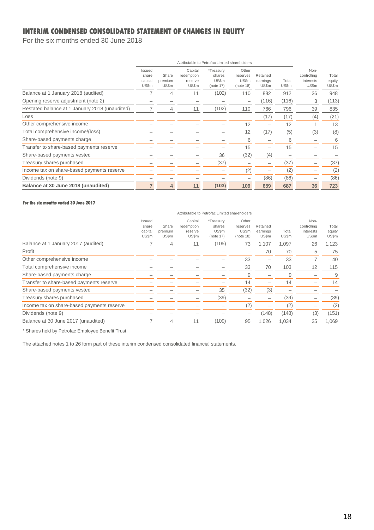## **INTERIM CONDENSED CONSOLIDATED STATEMENT OF CHANGES IN EQUITY**

For the six months ended 30 June 2018

|                                                | Attributable to Petrofac Limited shareholders |                           |                                           |                                           |                                         |                               |                |                                           |                          |
|------------------------------------------------|-----------------------------------------------|---------------------------|-------------------------------------------|-------------------------------------------|-----------------------------------------|-------------------------------|----------------|-------------------------------------------|--------------------------|
|                                                | Issued<br>share<br>capital<br>US\$m           | Share<br>premium<br>US\$m | Capital<br>redemption<br>reserve<br>US\$m | *Treasury<br>shares<br>US\$m<br>(note 17) | Other<br>reserves<br>US\$m<br>(note 18) | Retained<br>earnings<br>US\$m | Total<br>US\$m | Non-<br>controlling<br>interests<br>US\$m | Total<br>equity<br>US\$m |
| Balance at 1 January 2018 (audited)            |                                               | 4                         | 11                                        | (102)                                     | 110                                     | 882                           | 912            | 36                                        | 948                      |
| Opening reserve adjustment (note 2)            |                                               |                           |                                           |                                           |                                         | (116)                         | (116)          | 3                                         | (113)                    |
| Restated balance at 1 January 2018 (unaudited) |                                               | 4                         | 11                                        | (102)                                     | 110                                     | 766                           | 796            | 39                                        | 835                      |
| Loss                                           |                                               |                           |                                           |                                           |                                         | (17)                          | (17)           | (4)                                       | (21)                     |
| Other comprehensive income                     |                                               |                           |                                           |                                           | 12                                      |                               | 12             |                                           | 13                       |
| Total comprehensive income/(loss)              |                                               |                           |                                           |                                           | 12                                      | (17)                          | (5)            | (3)                                       | (8)                      |
| Share-based payments charge                    |                                               |                           |                                           |                                           | 6                                       |                               | 6              |                                           | 6                        |
| Transfer to share-based payments reserve       |                                               |                           |                                           |                                           | 15                                      | $\overline{\phantom{0}}$      | 15             |                                           | 15                       |
| Share-based payments vested                    |                                               |                           |                                           | 36                                        | (32)                                    | (4)                           |                |                                           |                          |
| Treasury shares purchased                      |                                               |                           |                                           | (37)                                      |                                         | -                             | (37)           |                                           | (37)                     |
| Income tax on share-based payments reserve     |                                               |                           |                                           |                                           | (2)                                     |                               | (2)            |                                           | (2)                      |
| Dividends (note 9)                             |                                               |                           |                                           |                                           |                                         | (86)                          | (86)           |                                           | (86)                     |
| Balance at 30 June 2018 (unaudited)            | $\overline{7}$                                | 4                         | 11                                        | (103)                                     | 109                                     | 659                           | 687            | 36                                        | 723                      |

#### **For the six months ended 30 June 2017**

| Attributable to Petrofac Limited shareholders |                           |                                           |                                           |                                         |                               |                |                                           |                          |
|-----------------------------------------------|---------------------------|-------------------------------------------|-------------------------------------------|-----------------------------------------|-------------------------------|----------------|-------------------------------------------|--------------------------|
| Issued<br>share<br>capital<br>US\$m           | Share<br>premium<br>US\$m | Capital<br>redemption<br>reserve<br>US\$m | *Treasury<br>shares<br>US\$m<br>(note 17) | Other<br>reserves<br>US\$m<br>(note 18) | Retained<br>earnings<br>US\$m | Total<br>US\$m | Non-<br>controlling<br>interests<br>US\$m | Total<br>equity<br>US\$m |
|                                               | 4                         | 11                                        | (105)                                     | 73                                      | 1.107                         | 1,097          | 26                                        | 1,123                    |
|                                               |                           |                                           |                                           |                                         | 70                            | 70             | 5                                         | 75                       |
|                                               |                           |                                           |                                           | 33                                      | -                             | 33             |                                           | 40                       |
|                                               |                           |                                           |                                           | 33                                      | 70                            | 103            | 12                                        | 115                      |
|                                               |                           |                                           |                                           | 9                                       |                               | 9              |                                           | 9                        |
|                                               |                           |                                           |                                           | 14                                      |                               | 14             |                                           | 14                       |
|                                               |                           |                                           | 35                                        | (32)                                    | (3)                           |                |                                           |                          |
|                                               |                           |                                           | (39)                                      |                                         | -                             | (39)           |                                           | (39)                     |
|                                               |                           |                                           |                                           | (2)                                     | -                             | (2)            |                                           | (2)                      |
|                                               |                           |                                           |                                           |                                         | (148)                         | (148)          | (3)                                       | (151)                    |
|                                               | 4                         | 11                                        | (109)                                     | 95                                      | 1.026                         | 1.034          | 35                                        | 1,069                    |
|                                               |                           |                                           |                                           |                                         |                               |                |                                           |                          |

\* Shares held by Petrofac Employee Benefit Trust.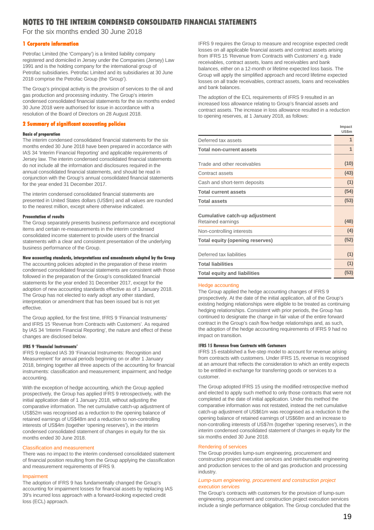For the six months ended 30 June 2018

#### **1 Corporate information**

Petrofac Limited (the 'Company') is a limited liability company registered and domiciled in Jersey under the Companies (Jersey) Law 1991 and is the holding company for the international group of Petrofac subsidiaries. Petrofac Limited and its subsidiaries at 30 June 2018 comprise the Petrofac Group (the 'Group').

The Group's principal activity is the provision of services to the oil and gas production and processing industry. The Group's interim condensed consolidated financial statements for the six months ended 30 June 2018 were authorised for issue in accordance with a resolution of the Board of Directors on 28 August 2018.

#### **2 Summary of significant accounting policies**

#### **Basis of preparation**

The interim condensed consolidated financial statements for the six months ended 30 June 2018 have been prepared in accordance with IAS 34 'Interim Financial Reporting' and applicable requirements of Jersey law. The interim condensed consolidated financial statements do not include all the information and disclosures required in the annual consolidated financial statements, and should be read in conjunction with the Group's annual consolidated financial statements for the year ended 31 December 2017.

The interim condensed consolidated financial statements are presented in United States dollars (US\$m) and all values are rounded to the nearest million, except where otherwise indicated.

#### **Presentation of results**

The Group separately presents business performance and exceptional items and certain re-measurements in the interim condensed consolidated income statement to provide users of the financial statements with a clear and consistent presentation of the underlying business performance of the Group.

#### **New accounting standards, interpretations and amendments adopted by the Group**

The accounting policies adopted in the preparation of these interim condensed consolidated financial statements are consistent with those followed in the preparation of the Group's consolidated financial statements for the year ended 31 December 2017, except for the adoption of new accounting standards effective as of 1 January 2018. The Group has not elected to early adopt any other standard, interpretation or amendment that has been issued but is not yet effective.

The Group applied, for the first time, IFRS 9 'Financial Instruments' and IFRS 15 'Revenue from Contracts with Customers'. As required by IAS 34 'Interim Financial Reporting', the nature and effect of these changes are disclosed below.

#### **IFRS 9 'Financial Instruments'**

IFRS 9 replaced IAS 39 'Financial Instruments: Recognition and Measurement' for annual periods beginning on or after 1 January 2018, bringing together all three aspects of the accounting for financial instruments: classification and measurement; impairment; and hedge accounting.

With the exception of hedge accounting, which the Group applied prospectively, the Group has applied IFRS 9 retrospectively, with the initial application date of 1 January 2018, without adjusting the comparative information. The net cumulative catch-up adjustment of US\$52m was recognised as a reduction to the opening balance of retained earnings of US\$48m and a reduction to non-controlling interests of US\$4m (together 'opening reserves'), in the interim condensed consolidated statement of changes in equity for the six months ended 30 June 2018.

#### Classification and measurement

There was no impact to the interim condensed consolidated statement of financial position resulting from the Group applying the classification and measurement requirements of IFRS 9.

#### Impairment

The adoption of IFRS 9 has fundamentally changed the Group's accounting for impairment losses for financial assets by replacing IAS 39's incurred loss approach with a forward-looking expected credit loss (ECL) approach.

IFRS 9 requires the Group to measure and recognise expected credit losses on all applicable financial assets and contract assets arising from IFRS 15 'Revenue from Contracts with Customers' e.g. trade receivables, contract assets, loans and receivables and bank balances, either on a 12-month or lifetime expected loss basis. The Group will apply the simplified approach and record lifetime expected losses on all trade receivables, contract assets, loans and receivables and bank balances.

The adoption of the ECL requirements of IFRS 9 resulted in an increased loss allowance relating to Group's financial assets and contract assets. The increase in loss allowance resulted in a reduction to opening reserves, at 1 January 2018, as follows:

|                                                     | Impact<br>US\$m |
|-----------------------------------------------------|-----------------|
| Deferred tax assets                                 | $\mathbf{1}$    |
| <b>Total non-current assets</b>                     | 1               |
| Trade and other receivables                         | (10)            |
| Contract assets                                     | (43)            |
| Cash and short-term deposits                        | (1)             |
| <b>Total current assets</b>                         | (54)            |
| <b>Total assets</b>                                 | (53)            |
| Cumulative catch-up adjustment<br>Retained earnings | (48)            |
| Non-controlling interests                           | (4)             |
| Total equity (opening reserves)                     | (52)            |
| Deferred tax liabilities                            | (1)             |
| <b>Total liabilities</b>                            | (1)             |
| <b>Total equity and liabilities</b>                 | (53)            |

#### Hedge accounting

The Group applied the hedge accounting changes of IFRS 9 prospectively. At the date of the initial application, all of the Group's existing hedging relationships were eligible to be treated as continuing hedging relationships. Consistent with prior periods, the Group has continued to designate the change in fair value of the entire forward contract in the Group's cash flow hedge relationships and, as such, the adoption of the hedge accounting requirements of IFRS 9 had no impact on transition.

#### **IFRS 15 Revenue from Contracts with Customers**

IFRS 15 established a five-step model to account for revenue arising from contracts with customers. Under IFRS 15, revenue is recognised at an amount that reflects the consideration to which an entity expects to be entitled in exchange for transferring goods or services to a customer.

The Group adopted IFRS 15 using the modified retrospective method and elected to apply such method to only those contracts that were not completed at the date of initial application. Under this method the comparative information was not restated, instead the net cumulative catch-up adjustment of US\$61m was recognised as a reduction to the opening balance of retained earnings of US\$68m and an increase to non-controlling interests of US\$7m (together 'opening reserves'), in the interim condensed consolidated statement of changes in equity for the six months ended 30 June 2018.

#### Rendering of services

The Group provides lump-sum engineering, procurement and construction project execution services and reimbursable engineering and production services to the oil and gas production and processing industry.

#### *Lump-sum engineering, procurement and construction project execution services*

The Group's contracts with customers for the provision of lump-sum engineering, procurement and construction project execution services include a single performance obligation. The Group concluded that the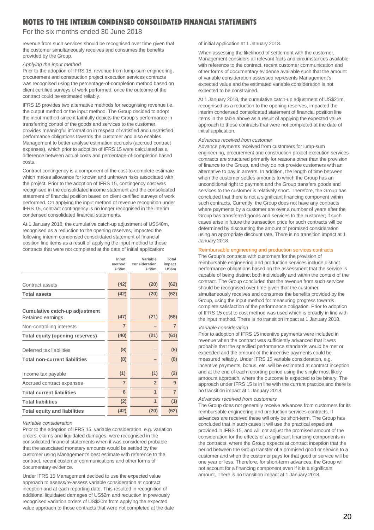### For the six months ended 30 June 2018

revenue from such services should be recognised over time given that the customer simultaneously receives and consumes the benefits provided by the Group.

#### *Applying the input method*

Prior to the adoption of IFRS 15, revenue from lump-sum engineering, procurement and construction project execution services contracts was recognised using the percentage-of-completion method based on client certified surveys of work performed, once the outcome of the contract could be estimated reliably.

IFRS 15 provides two alternative methods for recognising revenue i.e. the output method or the input method. The Group decided to adopt the input method since it faithfully depicts the Group's performance in transferring control of the goods and services to the customer, provides meaningful information in respect of satisfied and unsatisfied performance obligations towards the customer and also enables Management to better analyse estimation accruals (accrued contract expenses), which prior to adoption of IFRS 15 were calculated as a difference between actual costs and percentage-of-completion based costs.

Contract contingency is a component of the cost-to-complete estimate which makes allowance for known and unknown risks associated with the project. Prior to the adoption of IFRS 15, contingency cost was recognised in the consolidated income statement and the consolidated statement of financial position based on client certified surveys of work performed. On applying the input method of revenue recognition under IFRS 15, contract contingency is no longer recognised in the interim condensed consolidated financial statements.

At 1 January 2018, the cumulative catch-up adjustment of US\$40m, recognised as a reduction to the opening reserves, impacted the following interim condensed consolidated statement of financial position line items as a result of applying the input method to those contracts that were not completed at the date of initial application:

|                                      | Input          | Variable       | Total          |
|--------------------------------------|----------------|----------------|----------------|
|                                      | method         | consideration  | impact         |
|                                      | <b>US\$m</b>   | US\$m          | <b>US\$m</b>   |
|                                      |                |                |                |
| Contract assets                      | (42)           | (20)           | (62)           |
| <b>Total assets</b>                  | (42)           | (20)           | (62)           |
|                                      |                |                |                |
| Cumulative catch-up adjustment       |                |                |                |
| Retained earnings                    | (47)           | (21)           | (68)           |
| Non-controlling interests            | $\overline{7}$ |                | $\overline{7}$ |
| Total equity (opening reserves)      | (40)           | (21)           | (61)           |
|                                      |                |                |                |
| Deferred tax liabilities             | (8)            |                | (8)            |
| <b>Total non-current liabilities</b> | (8)            |                | (8)            |
|                                      |                |                |                |
| Income tax payable                   | (1)            | (1)            | (2)            |
| Accrued contract expenses            | $\overline{7}$ | $\overline{2}$ | 9              |
| <b>Total current liabilities</b>     | 6              | 1              | $\overline{7}$ |
| <b>Total liabilities</b>             | (2)            | 1              | (1)            |
| <b>Total equity and liabilities</b>  | (42)           | (20)           | (62)           |

#### *Variable consideration*

Prior to the adoption of IFRS 15, variable consideration, e.g. variation orders, claims and liquidated damages, were recognised in the consolidated financial statements when it was considered probable that the associated monetary amounts would be settled by the customer using Management's best estimate with reference to the contract, recent customer communications and other forms of documentary evidence.

Under IFRS 15 Management decided to use the expected value approach to assess/re-assess variable consideration at contract inception and at each reporting date. This resulted in recognition of additional liquidated damages of US\$2m and reduction in previously recognised variation orders of US\$20m from applying the expected value approach to those contracts that were not completed at the date of initial application at 1 January 2018.

When assessing the likelihood of settlement with the customer, Management considers all relevant facts and circumstances available with reference to the contract, recent customer communication and other forms of documentary evidence available such that the amount of variable consideration assessed represents Management's expected value and the estimated variable consideration is not expected to be constrained.

At 1 January 2018, the cumulative catch-up adjustment of US\$21m, recognised as a reduction to the opening reserves, impacted the interim condensed consolidated statement of financial position line items in the table above as a result of applying the expected value approach to those contracts that were not completed at the date of initial application.

#### *Advances received from customer*

Advance payments received from customers for lump-sum engineering, procurement and construction project execution services contracts are structured primarily for reasons other than the provision of finance to the Group, and they do not provide customers with an alternative to pay in arrears. In addition, the length of time between when the customer settles amounts to which the Group has an unconditional right to payment and the Group transfers goods and services to the customer is relatively short. Therefore, the Group has concluded that there is not a significant financing component within such contracts. Currently, the Group does not have any contracts where payments by a customer are over a number of years after the Group has transferred goods and services to the customer; if such cases arise in future the transaction price for such contracts will be determined by discounting the amount of promised consideration using an appropriate discount rate. There is no transition impact at 1 January 2018.

#### Reimbursable engineering and production services contracts

The Group's contracts with customers for the provision of reimbursable engineering and production services include distinct performance obligations based on the assessment that the service is capable of being distinct both individually and within the context of the contract. The Group concluded that the revenue from such services should be recognised over time given that the customer simultaneously receives and consumes the benefits provided by the Group, using the input method for measuring progress towards complete satisfaction of the performance obligation. Prior to adoption of IFRS 15 cost to cost method was used which is broadly in line with the input method. There is no transition impact at 1 January 2018.

#### *Variable consideration*

Prior to adoption of IFRS 15 incentive payments were included in revenue when the contract was sufficiently advanced that it was probable that the specified performance standards would be met or exceeded and the amount of the incentive payments could be measured reliably. Under IFRS 15 variable consideration, e.g. incentive payments, bonus, etc. will be estimated at contract inception and at the end of each reporting period using the single most likely amoount approach, where the outcome is expected to be binary. The approach under IFRS 15 is in line with the current practice and there is no transition impact at 1 January 2018.

#### *Advances received from customers*

The Group does not generally receive advances from customers for its reimbursable engineering and production services contracts. If advances are received these will only be short-term. The Group has concluded that in such cases it will use the practical expedient provided in IFRS 15, and will not adjust the promised amount of the consideration for the effects of a significant financing components in the contracts, where the Group expects at contract inception that the period between the Group transfer of a promised good or service to a customer and when the customer pays for that good or service will be one year or less. Therefore, for short-term advances, the Group will not account for a financing component even if it is a significant amount. There is no transition impact at 1 January 2018.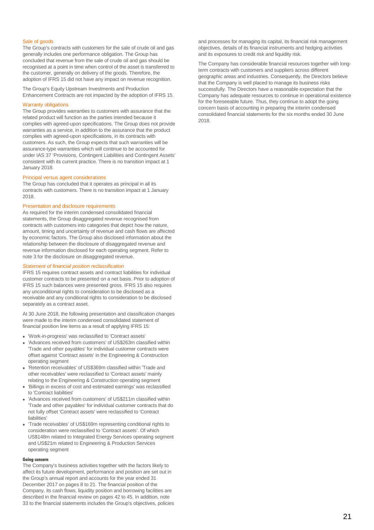#### Sale of goods

The Group's contracts with customers for the sale of crude oil and gas generally includes one performance obligation. The Group has concluded that revenue from the sale of crude oil and gas should be recognised at a point in time when control of the asset is transferred to the customer, generally on delivery of the goods. Therefore, the adoption of IFRS 15 did not have any impact on revenue recognition.

The Group's Equity Upstream Investments and Production Enhancement Contracts are not impacted by the adoption of IFRS 15.

#### Warranty obligations

The Group provides warranties to customers with assurance that the related product will function as the parties intended because it complies with agreed-upon specifications. The Group does not provide warranties as a service, in addition to the assurance that the product complies with agreed-upon specifications, in its contracts with customers. As such, the Group expects that such warranties will be assurance-type warranties which will continue to be accounted for under IAS 37 'Provisions, Contingent Liabilities and Contingent Assets' consistent with its current practice. There is no transition impact at 1 January 2018.

#### Principal versus agent considerations

The Group has concluded that it operates as principal in all its contracts with customers. There is no transition impact at 1 January 2018.

#### Presentation and disclosure requirements

As required for the interim condensed consolidated financial statements, the Group disaggregated revenue recognised from contracts with customers into categories that depict how the nature, amount, timing and uncertainty of revenue and cash flows are affected by economic factors. The Group also disclosed information about the relationship between the disclosure of disaggregated revenue and revenue information disclosed for each operating segment. Refer to note 3 for the disclosure on disaggregated revenue.

#### *Statement of financial position reclassification*

IFRS 15 requires contract assets and contract liabilities for individual customer contracts to be presented on a net basis. Prior to adoption of IFRS 15 such balances were presented gross. IFRS 15 also requires any unconditional rights to consideration to be disclosed as a receivable and any conditional rights to consideration to be disclosed separately as a contract asset.

At 30 June 2018, the following presentation and classification changes were made to the interim condensed consolidated statement of financial position line items as a result of applying IFRS 15:

- 'Work-in-progress' was reclassified to 'Contract assets'
- 'Advances received from customers' of US\$263m classified within 'Trade and other payables' for individual customer contracts were offset against 'Contract assets' in the Engineering & Construction operating segment
- 'Retention receivables' of US\$369m classified within 'Trade and other receivables' were reclassified to 'Contract assets' mainly relating to the Engineering & Construction operating segment
- 'Billings in excess of cost and estimated earnings' was reclassified to 'Contract liabilities
- 'Advances received from customers' of US\$211m classified within 'Trade and other payables' for individual customer contracts that do not fully offset 'Contract assets' were reclassified to 'Contract liabilities'
- 'Trade receivables' of US\$169m representing conditional rights to consideration were reclassified to 'Contract assets'. Of which US\$148m related to Integrated Energy Services operating segment and US\$21m related to Engineering & Production Services operating segment

#### **Going concern**

The Company's business activities together with the factors likely to affect its future development, performance and position are set out in the Group's annual report and accounts for the year ended 31 December 2017 on pages 8 to 21. The financial position of the Company, its cash flows, liquidity position and borrowing facilities are described in the financial review on pages 42 to 45. In addition, note 33 to the financial statements includes the Group's objectives, policies and processes for managing its capital, its financial risk management objectives, details of its financial instruments and hedging activities and its exposures to credit risk and liquidity risk.

The Company has considerable financial resources together with longterm contracts with customers and suppliers across different geographic areas and industries. Consequently, the Directors believe that the Company is well placed to manage its business risks successfully. The Directors have a reasonable expectation that the Company has adequate resources to continue in operational existence for the foreseeable future. Thus, they continue to adopt the going concern basis of accounting in preparing the interim condensed consolidated financial statements for the six months ended 30 June 2018.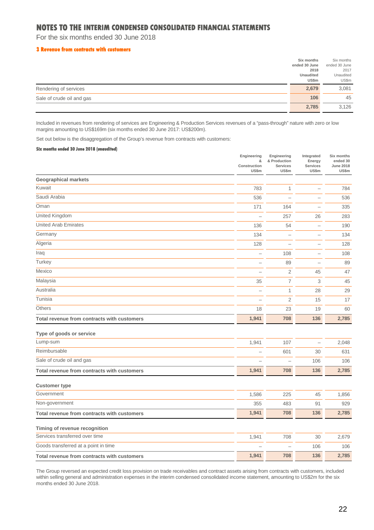For the six months ended 30 June 2018

#### **3 Revenue from contracts with customers**

|                           | Six months       | Six months    |
|---------------------------|------------------|---------------|
|                           | ended 30 June    | ended 30 June |
|                           | 2018             | 2017          |
|                           | <b>Unaudited</b> | Unaudited     |
|                           | <b>US\$m</b>     | US\$m         |
| Rendering of services     | 2,679            | 3,081         |
| Sale of crude oil and gas | 106              | 45            |
|                           | 2,785            | 3,126         |

Included in revenues from rendering of services are Engineering & Production Services revenues of a "pass-through" nature with zero or low margins amounting to US\$169m (six months ended 30 June 2017: US\$200m).

Set out below is the disaggregation of the Group's revenue from contracts with customers:

#### **Six months ended 30 June 2018 (unaudited)**

|                                             | Engineering<br>&<br>Construction<br><b>US\$m</b> | Engineering<br>& Production<br>Services<br>US\$m | Integrated<br>Energy<br>Services<br>US\$m | Six months<br>ended 30<br><b>June 2018</b><br>US\$m |
|---------------------------------------------|--------------------------------------------------|--------------------------------------------------|-------------------------------------------|-----------------------------------------------------|
| <b>Geographical markets</b>                 |                                                  |                                                  |                                           |                                                     |
| Kuwait                                      | 783                                              | 1                                                | $\overline{\phantom{0}}$                  | 784                                                 |
| Saudi Arabia                                | 536                                              | $\overline{\phantom{a}}$                         | $\overline{\phantom{0}}$                  | 536                                                 |
| Oman                                        | 171                                              | 164                                              | $\overline{\phantom{0}}$                  | 335                                                 |
| United Kingdom                              | $\overline{\phantom{0}}$                         | 257                                              | 26                                        | 283                                                 |
| <b>United Arab Emirates</b>                 | 136                                              | 54                                               |                                           | 190                                                 |
| Germany                                     | 134                                              | $\overline{\phantom{0}}$                         | $\overline{\phantom{0}}$                  | 134                                                 |
| Algeria                                     | 128                                              |                                                  | $\overline{\phantom{0}}$                  | 128                                                 |
| Iraq                                        | $\overline{\phantom{0}}$                         | 108                                              | $\overline{\phantom{0}}$                  | 108                                                 |
| Turkey                                      | $\overline{\phantom{0}}$                         | 89                                               | $\overline{\phantom{a}}$                  | 89                                                  |
| Mexico                                      | $\overline{\phantom{a}}$                         | $\overline{2}$                                   | 45                                        | 47                                                  |
| Malaysia                                    | 35                                               | $\overline{7}$                                   | 3                                         | 45                                                  |
| Australia                                   | $\overline{\phantom{0}}$                         | $\mathbf{1}$                                     | 28                                        | 29                                                  |
| Tunisia                                     | ÷.                                               | $\overline{2}$                                   | 15                                        | 17                                                  |
| <b>Others</b>                               | 18                                               | 23                                               | 19                                        | 60                                                  |
| Total revenue from contracts with customers | 1,941                                            | 708                                              | 136                                       | 2,785                                               |
| Type of goods or service                    |                                                  |                                                  |                                           |                                                     |
| Lump-sum                                    | 1,941                                            | 107                                              | $\overline{\phantom{0}}$                  | 2,048                                               |
| Reimbursable                                | L.                                               | 601                                              | 30                                        | 631                                                 |
| Sale of crude oil and gas                   | $\overline{\phantom{a}}$                         |                                                  | 106                                       | 106                                                 |
| Total revenue from contracts with customers | 1,941                                            | 708                                              | 136                                       | 2,785                                               |
| <b>Customer type</b>                        |                                                  |                                                  |                                           |                                                     |
| Government                                  | 1,586                                            | 225                                              | 45                                        | 1,856                                               |
| Non-government                              | 355                                              | 483                                              | 91                                        | 929                                                 |
| Total revenue from contracts with customers | 1,941                                            | 708                                              | 136                                       | 2,785                                               |
| Timing of revenue recognition               |                                                  |                                                  |                                           |                                                     |
| Services transferred over time              | 1,941                                            | 708                                              | 30                                        | 2,679                                               |
| Goods transferred at a point in time        |                                                  |                                                  | 106                                       | 106                                                 |
| Total revenue from contracts with customers | 1,941                                            | 708                                              | 136                                       | 2,785                                               |

The Group reversed an expected credit loss provision on trade receivables and contract assets arising from contracts with customers, included within selling general and administration expenses in the interim condensed consolidated income statement, amounting to US\$2m for the six months ended 30 June 2018.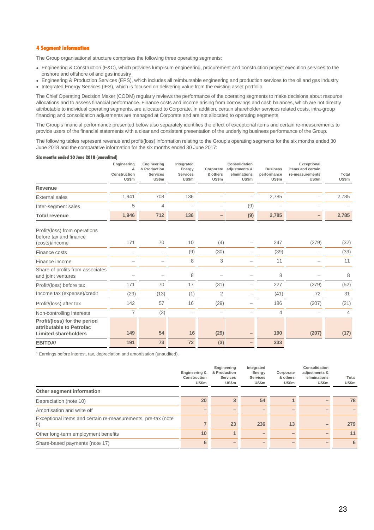### **4 Segment information**

The Group organisational structure comprises the following three operating segments:

- Engineering & Construction (E&C), which provides lump-sum engineering, procurement and construction project execution services to the onshore and offshore oil and gas industry
- Engineering & Production Services (EPS), which includes all reimbursable engineering and production services to the oil and gas industry • Integrated Energy Services (IES), which is focused on delivering value from the existing asset portfolio

The Chief Operating Decision Maker (CODM) regularly reviews the performance of the operating segments to make decisions about resource allocations and to assess financial performance. Finance costs and income arising from borrowings and cash balances, which are not directly attributable to individual operating segments, are allocated to Corporate. In addition, certain shareholder services related costs, intra-group financing and consolidation adjustments are managed at Corporate and are not allocated to operating segments.

The Group's financial performance presented below also separately identifies the effect of exceptional items and certain re-measurements to provide users of the financial statements with a clear and consistent presentation of the underlying business performance of the Group.

The following tables represent revenue and profit/(loss) information relating to the Group's operating segments for the six months ended 30 June 2018 and the comparative information for the six months ended 30 June 2017:

#### **Six months ended 30 June 2018 (unaudited)**

|                                                                                         | Engineering<br>&<br>Construction<br>US\$m | Engineering<br>& Production<br><b>Services</b><br>US\$m | Integrated<br>Energy<br><b>Services</b><br>US\$m | Corporate<br>& others<br>US\$m | Consolidation<br>adjustments &<br>eliminations<br>US\$m | <b>Business</b><br>performance<br>US\$m | Exceptional<br>items and certain<br>re-measurements<br>US\$m | Total<br>US\$m |
|-----------------------------------------------------------------------------------------|-------------------------------------------|---------------------------------------------------------|--------------------------------------------------|--------------------------------|---------------------------------------------------------|-----------------------------------------|--------------------------------------------------------------|----------------|
| Revenue                                                                                 |                                           |                                                         |                                                  |                                |                                                         |                                         |                                                              |                |
| <b>External sales</b>                                                                   | 1,941                                     | 708                                                     | 136                                              |                                |                                                         | 2,785                                   |                                                              | 2,785          |
| Inter-segment sales                                                                     | 5                                         | 4                                                       |                                                  |                                | (9)                                                     |                                         |                                                              |                |
| <b>Total revenue</b>                                                                    | 1,946                                     | 712                                                     | 136                                              |                                | (9)                                                     | 2,785                                   |                                                              | 2,785          |
| Profit/(loss) from operations<br>before tax and finance                                 | 171                                       | 70                                                      | 10                                               | (4)                            |                                                         | 247                                     | (279)                                                        | (32)           |
| (costs)/income                                                                          |                                           |                                                         |                                                  |                                |                                                         |                                         |                                                              |                |
| Finance costs                                                                           |                                           |                                                         | (9)                                              | (30)                           |                                                         | (39)                                    |                                                              | (39)           |
| Finance income                                                                          |                                           |                                                         | 8                                                | 3                              |                                                         | 11                                      |                                                              | 11             |
| Share of profits from associates<br>and joint ventures                                  |                                           |                                                         | 8                                                |                                |                                                         | 8                                       |                                                              | 8              |
| Profit/(loss) before tax                                                                | 171                                       | 70                                                      | 17                                               | (31)                           |                                                         | 227                                     | (279)                                                        | (52)           |
| Income tax (expense)/credit                                                             | (29)                                      | (13)                                                    | (1)                                              | 2                              |                                                         | (41)                                    | 72                                                           | 31             |
| Profit/(loss) after tax                                                                 | 142                                       | 57                                                      | 16                                               | (29)                           |                                                         | 186                                     | (207)                                                        | (21)           |
| Non-controlling interests                                                               | $\overline{7}$                            | (3)                                                     |                                                  |                                |                                                         | $\overline{4}$                          |                                                              | 4              |
| Profit/(loss) for the period<br>attributable to Petrofac<br><b>Limited shareholders</b> | 149                                       | 54                                                      | 16                                               | (29)                           |                                                         | 190                                     | (207)                                                        | (17)           |
| <b>EBITDA'</b>                                                                          | 191                                       | 73                                                      | 72                                               | (3)                            |                                                         | 333                                     |                                                              |                |

<sup>1</sup> Earnings before interest, tax, depreciation and amortisation (unaudited).

|                                                                    | Engineering &<br>Construction<br>US\$m | Engineering<br>& Production<br><b>Services</b><br>US\$m | Integrated<br>Energy<br><b>Services</b><br>US\$m | Corporate<br>& others<br>US\$m | Consolidation<br>adjustments &<br>eliminations<br>US\$m | Total<br>US\$m |
|--------------------------------------------------------------------|----------------------------------------|---------------------------------------------------------|--------------------------------------------------|--------------------------------|---------------------------------------------------------|----------------|
| Other segment information                                          |                                        |                                                         |                                                  |                                |                                                         |                |
| Depreciation (note 10)                                             | 20                                     | 3                                                       | 54                                               |                                |                                                         | 78             |
| Amortisation and write off                                         |                                        |                                                         |                                                  |                                |                                                         |                |
| Exceptional items and certain re-measurements, pre-tax (note<br>5) |                                        | 23                                                      | 236                                              | 13                             |                                                         | 279            |
| Other long-term employment benefits                                | 10                                     |                                                         |                                                  |                                |                                                         | 11             |
| Share-based payments (note 17)                                     | 6                                      |                                                         |                                                  |                                |                                                         | 6              |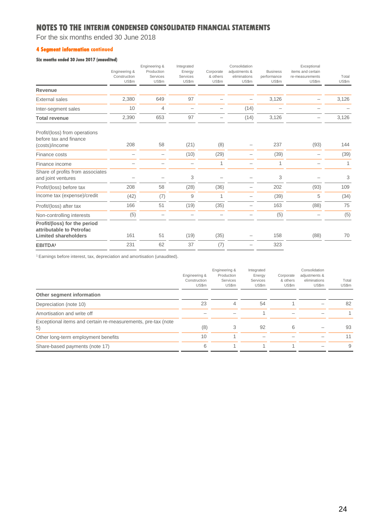For the six months ended 30 June 2018

### **4 Segment information continued**

### **Six months ended 30 June 2017 (unaudited)**

|                                                                                         | Engineering &<br>Construction<br>US\$m | Engineering &<br>Production<br>Services<br>US\$m | Integrated<br>Energy<br>Services<br>US\$m | Corporate<br>& others<br>US\$m | Consolidation<br>adjustments &<br>eliminations<br>US\$m | <b>Business</b><br>performance<br>US\$m | Exceptional<br>items and certain<br>re-measurements<br>US\$m | Total<br><b>US\$m</b> |
|-----------------------------------------------------------------------------------------|----------------------------------------|--------------------------------------------------|-------------------------------------------|--------------------------------|---------------------------------------------------------|-----------------------------------------|--------------------------------------------------------------|-----------------------|
| Revenue                                                                                 |                                        |                                                  |                                           |                                |                                                         |                                         |                                                              |                       |
| <b>External sales</b>                                                                   | 2,380                                  | 649                                              | 97                                        |                                |                                                         | 3,126                                   |                                                              | 3,126                 |
| Inter-segment sales                                                                     | 10                                     | 4                                                |                                           |                                | (14)                                                    |                                         |                                                              |                       |
| <b>Total revenue</b>                                                                    | 2,390                                  | 653                                              | 97                                        |                                | (14)                                                    | 3,126                                   |                                                              | 3,126                 |
| Profit/(loss) from operations<br>before tax and finance<br>(costs)/income               | 208                                    | 58                                               | (21)                                      | (8)                            |                                                         | 237                                     | (93)                                                         | 144                   |
| Finance costs                                                                           | -                                      | -                                                | (10)                                      | (29)                           |                                                         | (39)                                    |                                                              | (39)                  |
| Finance income                                                                          |                                        |                                                  |                                           | 1                              |                                                         | 1                                       |                                                              | 1                     |
| Share of profits from associates<br>and joint ventures                                  |                                        |                                                  | 3                                         |                                |                                                         | 3                                       |                                                              | 3                     |
| Profit/(loss) before tax                                                                | 208                                    | 58                                               | (28)                                      | (36)                           |                                                         | 202                                     | (93)                                                         | 109                   |
| Income tax (expense)/credit                                                             | (42)                                   | (7)                                              | 9                                         | 1                              |                                                         | (39)                                    | 5                                                            | (34)                  |
| Profit/(loss) after tax                                                                 | 166                                    | 51                                               | (19)                                      | (35)                           |                                                         | 163                                     | (88)                                                         | 75                    |
| Non-controlling interests                                                               | (5)                                    |                                                  |                                           |                                |                                                         | (5)                                     |                                                              | (5)                   |
| Profit/(loss) for the period<br>attributable to Petrofac<br><b>Limited shareholders</b> | 161                                    | 51                                               | (19)                                      | (35)                           |                                                         | 158                                     | (88)                                                         | 70                    |
| <b>EBITDA'</b>                                                                          | 231                                    | 62                                               | 37                                        | (7)                            |                                                         | 323                                     |                                                              |                       |

<sup>1</sup> Earnings before interest, tax, depreciation and amortisation (unaudited).

|                                                                    | Engineering &<br>Construction<br>US\$m | Engineering &<br>Production<br>Services<br>US\$m | Integrated<br>Energy<br>Services<br>US\$m | Corporate<br>& others<br>US\$m | Consolidation<br>adjustments &<br>eliminations<br>US\$m | Total<br>US\$m |
|--------------------------------------------------------------------|----------------------------------------|--------------------------------------------------|-------------------------------------------|--------------------------------|---------------------------------------------------------|----------------|
| Other segment information                                          |                                        |                                                  |                                           |                                |                                                         |                |
| Depreciation (note 10)                                             | 23                                     | 4                                                | 54                                        |                                |                                                         | 82             |
| Amortisation and write off                                         |                                        |                                                  |                                           |                                |                                                         |                |
| Exceptional items and certain re-measurements, pre-tax (note<br>5) | (8)                                    | 3                                                | 92                                        | 6                              |                                                         | 93             |
| Other long-term employment benefits                                | 10                                     |                                                  |                                           |                                |                                                         | 11             |
| Share-based payments (note 17)                                     | 6                                      |                                                  |                                           |                                |                                                         | 9              |
|                                                                    |                                        |                                                  |                                           |                                |                                                         |                |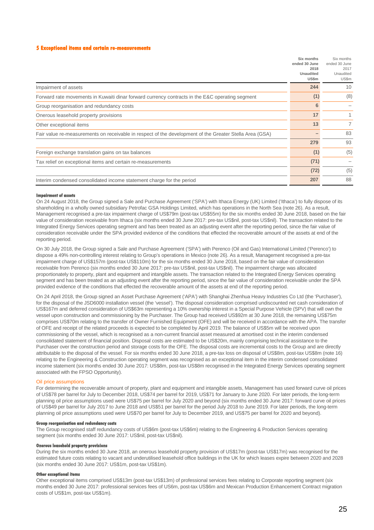#### **5 Exceptional items and certain re-measurements**

|                                                                                                         | Six months<br>ended 30 June<br>2018<br>Unaudited<br>US\$m | Six months<br>ended 30 June<br>2017<br>Unaudited<br>US\$m |
|---------------------------------------------------------------------------------------------------------|-----------------------------------------------------------|-----------------------------------------------------------|
| Impairment of assets                                                                                    | 244                                                       | 10                                                        |
| Forward rate movements in Kuwaiti dinar forward currency contracts in the E&C operating segment         | (1)                                                       | (8)                                                       |
| Group reorganisation and redundancy costs                                                               | 6                                                         |                                                           |
| Onerous leasehold property provisions                                                                   | 17                                                        | 1.                                                        |
| Other exceptional items                                                                                 | 13                                                        | $\overline{7}$                                            |
| Fair value re-measurements on receivable in respect of the development of the Greater Stella Area (GSA) |                                                           | 83                                                        |
|                                                                                                         | 279                                                       | 93                                                        |
| Foreign exchange translation gains on tax balances                                                      | (1)                                                       | (5)                                                       |
| Tax relief on exceptional items and certain re-measurements                                             | (71)                                                      |                                                           |
|                                                                                                         | (72)                                                      | (5)                                                       |
| Interim condensed consolidated income statement charge for the period                                   | 207                                                       | 88                                                        |

#### **Impairment of assets**

On 24 August 2018, the Group signed a Sale and Purchase Agreement ('SPA') with Ithaca Energy (UK) Limited ('Ithaca') to fully dispose of its shareholding in a wholly owned subsidiary Petrofac GSA Holdings Limited, which has operations in the North Sea (note 26). As a result, Management recognised a pre-tax impairment charge of US\$79m (post-tax US\$55m) for the six months ended 30 June 2018, based on the fair value of consideration receivable from Ithaca (six months ended 30 June 2017: pre-tax US\$nil, post-tax US\$nil). The transaction related to the Integrated Energy Services operating segment and has been treated as an adjusting event after the reporting period, since the fair value of consideration receivable under the SPA provided evidence of the conditions that effected the recoverable amount of the assets at end of the reporting period.

On 30 July 2018, the Group signed a Sale and Purchase Agreement ('SPA') with Perenco (Oil and Gas) International Limited ('Perenco') to dispose a 49% non-controlling interest relating to Group's operations in Mexico (note 26). As a result, Management recognised a pre-tax impairment charge of US\$157m (post-tax US\$110m) for the six months ended 30 June 2018, based on the fair value of consideration receivable from Perenco (six months ended 30 June 2017: pre-tax US\$nil, post-tax US\$nil). The impairment charge was allocated proportionately to property, plant and equipment and intangible assets. The transaction related to the Integrated Energy Services operating segment and has been treated as an adjusting event after the reporting period, since the fair value of consideration receivable under the SPA provided evidence of the conditions that effected the recoverable amount of the assets at end of the reporting period.

On 24 April 2018, the Group signed an Asset Purchase Agreement ('APA') with Shanghai Zhenhua Heavy Industries Co Ltd (the 'Purchaser'), for the disposal of the JSD6000 installation vessel (the 'vessel'). The disposal consideration comprised undiscounted net cash consideration of US\$167m and deferred consideration of US\$63m representing a 10% ownership interest in a Special Purpose Vehicle (SPV) that will own the vessel upon construction and commissioning by the Purchaser. The Group had received US\$92m at 30 June 2018, the remaining US\$75m comprises US\$70m relating to the transfer of Owner Furnished Equipment (OFE) and will be received in accordance with the APA. The transfer of OFE and receipt of the related proceeds is expected to be completed by April 2019. The balance of US\$5m will be received upon commissioning of the vessel, which is recognised as a non-current financial asset measured at amortised cost in the interim condensed consolidated statement of financial position. Disposal costs are estimated to be US\$20m, mainly comprising technical assistance to the Purchaser over the construction period and storage costs for the OFE. The disposal costs are incremental costs to the Group and are directly attributable to the disposal of the vessel. For six months ended 30 June 2018, a pre-tax loss on disposal of US\$8m, post-tax US\$8m (note 16) relating to the Engineering & Construction operating segment was recognised as an exceptional item in the interim condensed consolidated income statement (six months ended 30 June 2017: US\$8m, post-tax US\$8m recognised in the Integrated Energy Services operating segment associated with the FPSO Opportunity).

#### Oil price assumptions

For determining the recoverable amount of property, plant and equipment and intangible assets, Management has used forward curve oil prices of US\$78 per barrel for July to December 2018, US\$74 per barrel for 2019, US\$71 for January to June 2020. For later periods, the long-term planning oil price assumptions used were US\$75 per barrel for July 2020 and beyond (six months ended 30 June 2017: forward curve oil prices of US\$49 per barrel for July 2017 to June 2018 and US\$51 per barrel for the period July 2018 to June 2019. For later periods, the long-term planning oil price assumptions used were US\$70 per barrel for July to December 2019, and US\$75 per barrel for 2020 and beyond).

#### **Group reorganisation and redundancy costs**

The Group recognised staff redundancy costs of US\$6m (post-tax US\$6m) relating to the Engineering & Production Services operating segment (six months ended 30 June 2017: US\$nil, post-tax US\$nil).

#### **Onerous leasehold property provisions**

During the six months ended 30 June 2018, an onerous leasehold property provision of US\$17m (post-tax US\$17m) was recognised for the estimated future costs relating to vacant and underutilised leasehold office buildings in the UK for which leases expire between 2020 and 2028 (six months ended 30 June 2017: US\$1m, post-tax US\$1m).

#### **Other exceptional item**

Other exceptional items comprised US\$13m (post-tax US\$13m) of professional services fees relating to Corporate reporting segment (six months ended 30 June 2017: professional services fees of US6m, post-tax US\$6m and Mexican Production Enhancement Contract migration costs of US\$1m, post-tax US\$1m).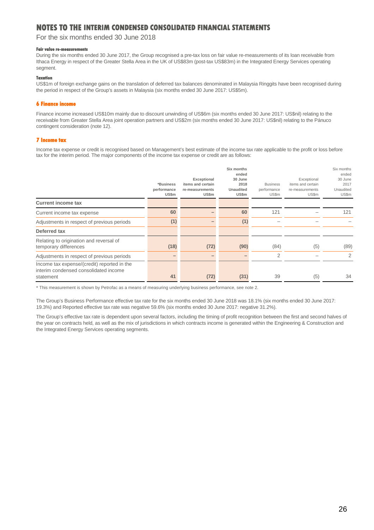For the six months ended 30 June 2018

#### **Fair value re-measure**

During the six months ended 30 June 2017, the Group recognised a pre-tax loss on fair value re-measurements of its loan receivable from Ithaca Energy in respect of the Greater Stella Area in the UK of US\$83m (post-tax US\$83m) in the Integrated Energy Services operating segment.

#### **Taxation**

US\$1m of foreign exchange gains on the translation of deferred tax balances denominated in Malaysia Ringgits have been recognised during the period in respect of the Group's assets in Malaysia (six months ended 30 June 2017: US\$5m).

### **6 Finance income**

Finance income increased US\$10m mainly due to discount unwinding of US\$6m (six months ended 30 June 2017: US\$nil) relating to the receivable from Greater Stella Area joint operation partners and US\$2m (six months ended 30 June 2017: US\$nil) relating to the Pánuco contingent consideration (note 12).

#### **7 Income tax**

Income tax expense or credit is recognised based on Management's best estimate of the income tax rate applicable to the profit or loss before tax for the interim period. The major components of the income tax expense or credit are as follows:

|                                                                                                   | *Business<br>performance<br>US\$m | Exceptional<br>items and certain<br>re-measurements<br>US\$m | Six months<br>ended<br>30 June<br>2018<br><b>Unaudited</b><br>US\$m | <b>Business</b><br>performance<br>US\$m | Exceptional<br>items and certain<br>re-measurements<br>US\$m | Six months<br>ended<br>30 June<br>2017<br>Unaudited<br>US\$m |
|---------------------------------------------------------------------------------------------------|-----------------------------------|--------------------------------------------------------------|---------------------------------------------------------------------|-----------------------------------------|--------------------------------------------------------------|--------------------------------------------------------------|
| <b>Current income tax</b>                                                                         |                                   |                                                              |                                                                     |                                         |                                                              |                                                              |
| Current income tax expense                                                                        | 60                                |                                                              | 60                                                                  | 121                                     |                                                              | 121                                                          |
| Adjustments in respect of previous periods                                                        | (1)                               |                                                              | (1)                                                                 |                                         |                                                              |                                                              |
| Deferred tax                                                                                      |                                   |                                                              |                                                                     |                                         |                                                              |                                                              |
| Relating to origination and reversal of<br>temporary differences                                  | (18)                              | (72)                                                         | (90)                                                                | (84)                                    | (5)                                                          | (89)                                                         |
| Adjustments in respect of previous periods                                                        |                                   |                                                              |                                                                     | $\overline{2}$                          |                                                              | 2                                                            |
| Income tax expense/(credit) reported in the<br>interim condensed consolidated income<br>statement | 41                                | (72)                                                         | (31)                                                                | 39                                      | (5)                                                          | 34                                                           |

\* This measurement is shown by Petrofac as a means of measuring underlying business performance, see note 2.

The Group's Business Performance effective tax rate for the six months ended 30 June 2018 was 18.1% (six months ended 30 June 2017: 19.3%) and Reported effective tax rate was negative 59.6% (six months ended 30 June 2017: negative 31.2%).

The Group's effective tax rate is dependent upon several factors, including the timing of profit recognition between the first and second halves of the year on contracts held, as well as the mix of jurisdictions in which contracts income is generated within the Engineering & Construction and the Integrated Energy Services operating segments.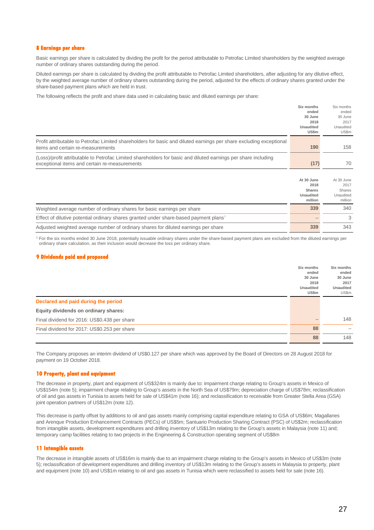#### **8 Earnings per share**

Basic earnings per share is calculated by dividing the profit for the period attributable to Petrofac Limited shareholders by the weighted average number of ordinary shares outstanding during the period.

Diluted earnings per share is calculated by dividing the profit attributable to Petrofac Limited shareholders, after adjusting for any dilutive effect, by the weighted average number of ordinary shares outstanding during the period, adjusted for the effects of ordinary shares granted under the share-based payment plans which are held in trust.

The following reflects the profit and share data used in calculating basic and diluted earnings per share:

|                                                                                                                     | Six months<br>ended | Six months<br>ended |
|---------------------------------------------------------------------------------------------------------------------|---------------------|---------------------|
|                                                                                                                     | 30 June             | 30 June             |
|                                                                                                                     | 2018<br>Unaudited   | 2017<br>Unaudited   |
|                                                                                                                     | US\$m               | US\$m               |
| Profit attributable to Petrofac Limited shareholders for basic and diluted earnings per share excluding exceptional |                     |                     |
| items and certain re-measurements                                                                                   | 190                 | 158                 |
| (Loss)/profit attributable to Petrofac Limited shareholders for basic and diluted earnings per share including      |                     |                     |
| exceptional items and certain re-measurements                                                                       | (17)                | 70                  |

|                                                                                                   | At 30 June<br>2018<br><b>Shares</b><br><b>Unaudited</b><br>million | At 30 June<br>2017<br>Shares<br>Unaudited<br>million |
|---------------------------------------------------------------------------------------------------|--------------------------------------------------------------------|------------------------------------------------------|
| Weighted average number of ordinary shares for basic earnings per share                           | 339                                                                | 340                                                  |
| Effect of dilutive potential ordinary shares granted under share-based payment plans <sup>1</sup> |                                                                    | 3                                                    |
| Adjusted weighted average number of ordinary shares for diluted earnings per share                | 339                                                                | 343                                                  |

<sup>1</sup> For the six months ended 30 June 2018, potentially issuable ordinary shares under the share-based payment plans are excluded from the diluted earnings per ordinary share calculation, as their inclusion would decrease the loss per ordinary share.

#### **9 Dividends paid and proposed**

|                                              | Six months<br>ended<br>30 June<br>2018<br><b>Unaudited</b> | Six months<br>ended<br>30 June<br>2017<br><b>Unaudited</b> |
|----------------------------------------------|------------------------------------------------------------|------------------------------------------------------------|
|                                              | US\$m                                                      | US\$m                                                      |
| Declared and paid during the period          |                                                            |                                                            |
| Equity dividends on ordinary shares:         |                                                            |                                                            |
| Final dividend for 2016: US\$0.438 per share |                                                            | 148                                                        |
| Final dividend for 2017: US\$0.253 per share | 88                                                         |                                                            |
|                                              | 88                                                         | 148                                                        |

The Company proposes an interim dividend of US\$0.127 per share which was approved by the Board of Directors on 28 August 2018 for payment on 19 October 2018.

#### **10 Property, plant and equipment**

The decrease in property, plant and equipment of US\$324m is mainly due to: impairment charge relating to Group's assets in Mexico of US\$154m (note 5); impairment charge relating to Group's assets in the North Sea of US\$79m; depreciation charge of US\$78m; reclassification of oil and gas assets in Tunisia to assets held for sale of US\$41m (note 16); and reclassification to receivable from Greater Stella Area (GSA) joint operation partners of US\$12m (note 12).

This decrease is partly offset by additions to oil and gas assets mainly comprising capital expenditure relating to GSA of US\$6m; Magallanes and Arenque Production Enhancement Contracts (PECs) of US\$5m; Santuario Production Sharing Contract (PSC) of US\$2m; reclassification from intangible assets, development expenditures and drilling inventory of US\$13m relating to the Group's assets in Malaysia (note 11) and; temporary camp facilities relating to two projects in the Engineering & Construction operating segment of US\$8m

#### **11 Intangible assets**

The decrease in intangible assets of US\$16m is mainly due to an impairment charge relating to the Group's assets in Mexico of US\$3m (note 5); reclassification of development expenditures and drilling inventory of US\$13m relating to the Group's assets in Malaysia to property, plant and equipment (note 10) and US\$1m relating to oil and gas assets in Tunisia which were reclassified to assets held for sale (note 16).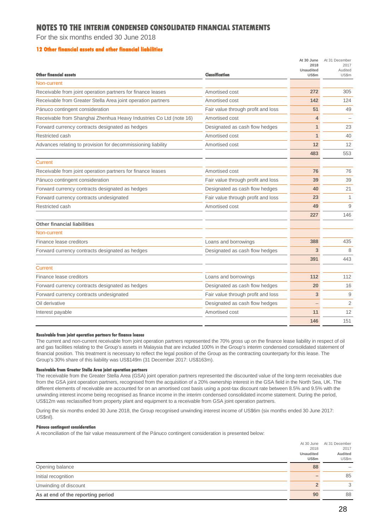For the six months ended 30 June 2018

### **12 Other financial assets and other financial liabilities**

| <b>Other financial assets</b>                                      | Classification                     | At 30 June<br>2018<br><b>Unaudited</b><br><b>US\$m</b> | At 31 December<br>2017<br>Audited<br>US\$m |
|--------------------------------------------------------------------|------------------------------------|--------------------------------------------------------|--------------------------------------------|
| Non-current                                                        |                                    |                                                        |                                            |
| Receivable from joint operation partners for finance leases        | Amortised cost                     | 272                                                    | 305                                        |
| Receivable from Greater Stella Area joint operation partners       | Amortised cost                     | 142                                                    | 124                                        |
| Pánuco contingent consideration                                    | Fair value through profit and loss | 51                                                     | 49                                         |
| Receivable from Shanghai Zhenhua Heavy Industries Co Ltd (note 16) | Amortised cost                     | 4                                                      |                                            |
| Forward currency contracts designated as hedges                    | Designated as cash flow hedges     | $\mathbf{1}$                                           | 23                                         |
| Restricted cash                                                    | Amortised cost                     | 1                                                      | 40                                         |
| Advances relating to provision for decommissioning liability       | Amortised cost                     | 12                                                     | 12                                         |
|                                                                    |                                    | 483                                                    | 553                                        |
| <b>Current</b>                                                     |                                    |                                                        |                                            |
| Receivable from joint operation partners for finance leases        | Amortised cost                     | 76                                                     | 76                                         |
| Pánuco contingent consideration                                    | Fair value through profit and loss | 39                                                     | 39                                         |
| Forward currency contracts designated as hedges                    | Designated as cash flow hedges     | 40                                                     | 21                                         |
| Forward currency contracts undesignated                            | Fair value through profit and loss | 23                                                     | 1                                          |
| Restricted cash                                                    | Amortised cost                     | 49                                                     | 9                                          |
|                                                                    |                                    | 227                                                    | 146                                        |
| Other financial liabilities                                        |                                    |                                                        |                                            |
| Non-current                                                        |                                    |                                                        |                                            |
| Finance lease creditors                                            | Loans and borrowings               | 388                                                    | 435                                        |
| Forward currency contracts designated as hedges                    | Designated as cash flow hedges     | 3                                                      | 8                                          |
|                                                                    |                                    | 391                                                    | 443                                        |
| <b>Current</b>                                                     |                                    |                                                        |                                            |
| Finance lease creditors                                            | Loans and borrowings               | 112                                                    | 112                                        |
| Forward currency contracts designated as hedges                    | Designated as cash flow hedges     | 20                                                     | 16                                         |
| Forward currency contracts undesignated                            | Fair value through profit and loss | 3                                                      | 9                                          |
| Oil derivative                                                     | Designated as cash flow hedges     |                                                        | $\overline{2}$                             |
| Interest payable                                                   | Amortised cost                     | 11                                                     | 12                                         |
|                                                                    |                                    | 146                                                    | 151                                        |

#### **Receivable from joint operation partners for finance leases**

The current and non-current receivable from joint operation partners represented the 70% gross up on the finance lease liability in respect of oil and gas facilities relating to the Group's assets in Malaysia that are included 100% in the Group's interim condensed consolidated statement of financial position. This treatment is necessary to reflect the legal position of the Group as the contracting counterparty for this lease. The Group's 30% share of this liability was US\$149m (31 December 2017: US\$163m).

#### **Receivable from Greater Stella Area joint operation partners**

The receivable from the Greater Stella Area (GSA) joint operation partners represented the discounted value of the long-term receivables due from the GSA joint operation partners, recognised from the acquisition of a 20% ownership interest in the GSA field in the North Sea, UK. The different elements of receivable are accounted for on an amortised cost basis using a post-tax discount rate between 8.5% and 9.5% with the unwinding interest income being recognised as finance income in the interim condensed consolidated income statement. During the period, US\$12m was reclassified from property plant and equipment to a receivable from GSA joint operation partners.

During the six months ended 30 June 2018, the Group recognised unwinding interest income of US\$6m (six months ended 30 June 2017: US\$nil).

#### **Pánuco contingent consideration**

A reconciliation of the fair value measurement of the Pánuco contingent consideration is presented below:

|                                   | At 30 June | At 31 December |
|-----------------------------------|------------|----------------|
|                                   | 2018       | 2017           |
|                                   | Unaudited  | Audited        |
|                                   | US\$m      | US\$m          |
| Opening balance                   | 88         |                |
| Initial recognition               |            | 85             |
| Unwinding of discount             |            | 3              |
| As at end of the reporting period | 90         | 88             |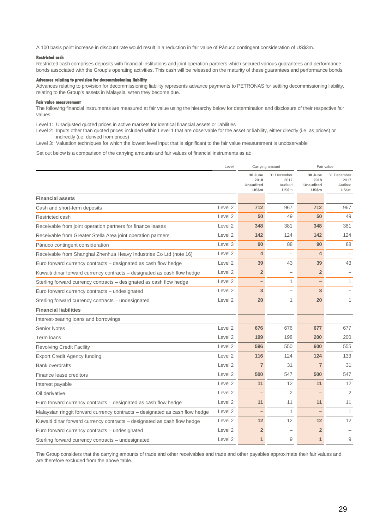A 100 basis point increase in discount rate would result in a reduction in fair value of Pánuco contingent consideration of US\$3m.

#### **Restricted cash**

Restricted cash comprises deposits with financial institutions and joint operation partners which secured various guarantees and performance bonds associated with the Group's operating activities. This cash will be released on the maturity of these guarantees and performance bonds.

#### **Advances relating to provision for decommissioning liability**

Advances relating to provision for decommissioning liability represents advance payments to PETRONAS for settling decommissioning liability, relating to the Group's assets in Malaysia, when they become due.

#### **Fair value me**

The following financial instruments are measured at fair value using the hierarchy below for determination and disclosure of their respective fair values:

Level 1: Unadjusted quoted prices in active markets for identical financial assets or liabilities

Level 2: Inputs other than quoted prices included within Level 1 that are observable for the asset or liability, either directly (i.e. as prices) or indirectly (i.e. derived from prices)

Level 3: Valuation techniques for which the lowest level input that is significant to the fair value measurement is unobservable

Set out below is a comparison of the carrying amounts and fair values of financial instruments as at:

|                                                                              | Level              | Carrying amount                              |                                         |                                              | Fair value                              |
|------------------------------------------------------------------------------|--------------------|----------------------------------------------|-----------------------------------------|----------------------------------------------|-----------------------------------------|
|                                                                              |                    | 30 June<br>2018<br><b>Unaudited</b><br>US\$m | 31 December<br>2017<br>Audited<br>US\$m | 30 June<br>2018<br><b>Unaudited</b><br>US\$m | 31 December<br>2017<br>Audited<br>US\$m |
| <b>Financial assets</b>                                                      |                    |                                              |                                         |                                              |                                         |
| Cash and short-term deposits                                                 | Level 2            | 712                                          | 967                                     | 712                                          | 967                                     |
| Restricted cash                                                              | Level 2            | 50                                           | 49                                      | 50                                           | 49                                      |
| Receivable from joint operation partners for finance leases                  | Level 2            | 348                                          | 381                                     | 348                                          | 381                                     |
| Receivable from Greater Stella Area joint operation partners                 | Level 2            | 142                                          | 124                                     | 142                                          | 124                                     |
| Pánuco contingent consideration                                              | Level 3            | 90                                           | 88                                      | 90                                           | 88                                      |
| Receivable from Shanghai Zhenhua Heavy Industries Co Ltd (note 16)           | Level 2            | $\overline{4}$                               | $\overline{\phantom{0}}$                | 4                                            |                                         |
| Euro forward currency contracts - designated as cash flow hedge              | Level 2            | 39                                           | 43                                      | 39                                           | 43                                      |
| Kuwaiti dinar forward currency contracts - designated as cash flow hedge     | Level 2            | $\overline{2}$                               | $\overline{\phantom{0}}$                | $\overline{2}$                               |                                         |
| Sterling forward currency contracts - designated as cash flow hedge          | Level 2            |                                              | 1                                       |                                              | $\mathbf{1}$                            |
| Euro forward currency contracts - undesignated                               | Level 2            | 3                                            | $\overline{\phantom{0}}$                | 3                                            |                                         |
| Sterling forward currency contracts - undesignated                           | Level 2            | 20                                           | 1                                       | 20                                           | $\mathbf{1}$                            |
| <b>Financial liabilities</b>                                                 |                    |                                              |                                         |                                              |                                         |
| Interest-bearing loans and borrowings                                        |                    |                                              |                                         |                                              |                                         |
| <b>Senior Notes</b>                                                          | Level 2            | 676                                          | 676                                     | 677                                          | 677                                     |
| Term Ioans                                                                   | Level 2            | 199                                          | 198                                     | 200                                          | 200                                     |
| <b>Revolving Credit Facility</b>                                             | Level 2            | 596                                          | 550                                     | 600                                          | 555                                     |
| <b>Export Credit Agency funding</b>                                          | Level 2            | 116                                          | 124                                     | 124                                          | 133                                     |
| <b>Bank overdrafts</b>                                                       | Level 2            | $\overline{7}$                               | 31                                      | $\overline{7}$                               | 31                                      |
| Finance lease creditors                                                      | Level 2            | 500                                          | 547                                     | 500                                          | 547                                     |
| Interest payable                                                             | Level 2            | 11                                           | 12                                      | 11                                           | 12                                      |
| Oil derivative                                                               | Level 2            |                                              | 2                                       |                                              | 2                                       |
| Euro forward currency contracts - designated as cash flow hedge              | Level 2            | 11                                           | 11                                      | 11                                           | 11                                      |
| Malaysian ringgit forward currency contracts - designated as cash flow hedge | Level <sub>2</sub> |                                              | 1                                       |                                              | $\mathbf{1}$                            |
| Kuwaiti dinar forward currency contracts - designated as cash flow hedge     | Level 2            | 12                                           | 12                                      | 12                                           | 12                                      |
| Euro forward currency contracts - undesignated                               | Level <sub>2</sub> | $\overline{2}$                               |                                         | $\overline{2}$                               |                                         |
| Sterling forward currency contracts – undesignated                           | Level 2            | $\overline{1}$                               | 9                                       | $\mathbf{1}$                                 | 9                                       |

The Group considers that the carrying amounts of trade and other receivables and trade and other payables approximate their fair values and are therefore excluded from the above table.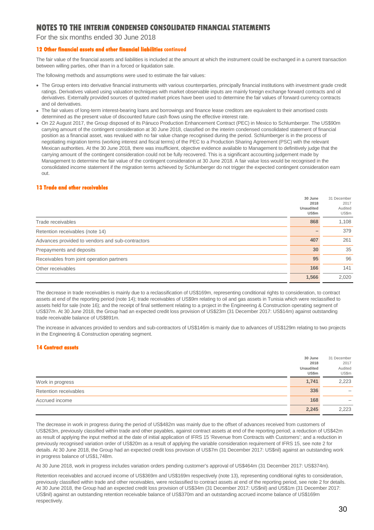For the six months ended 30 June 2018

### **12 Other financial assets and other financial liabilities continued**

The fair value of the financial assets and liabilities is included at the amount at which the instrument could be exchanged in a current transaction between willing parties, other than in a forced or liquidation sale.

The following methods and assumptions were used to estimate the fair values:

- The Group enters into derivative financial instruments with various counterparties, principally financial institutions with investment grade credit ratings. Derivatives valued using valuation techniques with market observable inputs are mainly foreign exchange forward contracts and oil derivatives. Externally provided sources of quoted market prices have been used to determine the fair values of forward currency contracts and oil derivatives.
- The fair values of long-term interest-bearing loans and borrowings and finance lease creditors are equivalent to their amortised costs determined as the present value of discounted future cash flows using the effective interest rate.
- On 22 August 2017, the Group disposed of its Pánuco Production Enhancement Contract (PEC) in Mexico to Schlumberger. The US\$90m carrying amount of the contingent consideration at 30 June 2018, classified on the interim condensed consolidated statement of financial position as a financial asset, was revalued with no fair value change recognised during the period. Schlumberger is in the process of negotiating migration terms (working interest and fiscal terms) of the PEC to a Production Sharing Agreement (PSC) with the relevant Mexican authorities. At the 30 June 2018, there was insufficient, objective evidence available to Management to definitively judge that the carrying amount of the contingent consideration could not be fully recovered. This is a significant accounting judgement made by Management to determine the fair value of the contingent consideration at 30 June 2018. A fair value loss would be recognised in the consolidated income statement if the migration terms achieved by Schlumberger do not trigger the expected contingent consideration earn out.

#### **13 Trade and other receivables**

|                                                  | 30 June<br>2018<br><b>Unaudited</b><br>US\$m | 31 December<br>2017<br>Audited<br>US\$m |
|--------------------------------------------------|----------------------------------------------|-----------------------------------------|
| Trade receivables                                | 868                                          | 1,108                                   |
| Retention receivables (note 14)                  |                                              | 379                                     |
| Advances provided to vendors and sub-contractors | 407                                          | 261                                     |
| Prepayments and deposits                         | 30                                           | 35                                      |
| Receivables from joint operation partners        | 95                                           | 96                                      |
| Other receivables                                | 166                                          | 141                                     |
|                                                  | 1,566                                        | 2,020                                   |

The decrease in trade receivables is mainly due to a reclassification of US\$169m, representing conditional rights to consideration, to contract assets at end of the reporting period (note 14); trade receivables of US\$9m relating to oil and gas assets in Tunisia which were reclassified to assets held for sale (note 16); and the receipt of final settlement relating to a project in the Engineering & Construction operating segment of US\$37m. At 30 June 2018, the Group had an expected credit loss provision of US\$23m (31 December 2017: US\$14m) against outstanding trade receivable balance of US\$891m.

The increase in advances provided to vendors and sub-contractors of US\$146m is mainly due to advances of US\$129m relating to two projects in the Engineering & Construction operating segment.

#### **14 Contract assets**

|                       | 30 June<br>2018    | 31 December<br>2017      |
|-----------------------|--------------------|--------------------------|
|                       | Unaudited<br>US\$m | Audited<br>US\$m         |
| Work in progress      | 1,741              | 2,223                    |
| Retention receivables | 336                | $\overline{\phantom{0}}$ |
| Accrued income        | 168                | –                        |
|                       | 2,245              | 2,223                    |

The decrease in work in progress during the period of US\$482m was mainly due to the offset of advances received from customers of US\$263m, previously classified within trade and other payables, against contract assets at end of the reporting period; a reduction of US\$42m as result of applying the input method at the date of initial application of IFRS 15 'Revenue from Contracts with Customers'; and a reduction in previously recognised variation order of US\$20m as a result of applying the variable consideration requirement of IFRS 15, see note 2 for details. At 30 June 2018, the Group had an expected credit loss provision of US\$7m (31 December 2017: US\$nil) against an outstanding work in progress balance of US\$1,748m.

At 30 June 2018, work in progress includes variation orders pending customer's approval of US\$464m (31 December 2017: US\$374m).

Retention receivables and accrued income of US\$369m and US\$169m respectively (note 13), representing conditional rights to consideration, previously classified within trade and other receivables, were reclassified to contract assets at end of the reporting period, see note 2 for details. At 30 June 2018, the Group had an expected credit loss provision of US\$34m (31 December 2017: US\$nil) and US\$1m (31 December 2017: US\$nil) against an outstanding retention receivable balance of US\$370m and an outstanding accrued income balance of US\$169m respectively.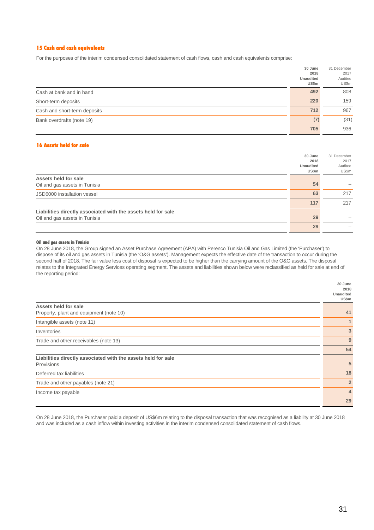#### **15 Cash and cash equivalents**

For the purposes of the interim condensed consolidated statement of cash flows, cash and cash equivalents comprise:

|                              | 30 June<br>2018<br><b>Unaudited</b><br>US\$m | 31 December<br>2017<br>Audited<br>US\$m |
|------------------------------|----------------------------------------------|-----------------------------------------|
| Cash at bank and in hand     | 492                                          | 808                                     |
| Short-term deposits          | 220                                          | 159                                     |
| Cash and short-term deposits | 712                                          | 967                                     |
| Bank overdrafts (note 19)    | (7)                                          | (31)                                    |
|                              | 705                                          | 936                                     |

### **16 Assets held for sale**

|                                                               | 30 June<br>2018<br><b>Unaudited</b><br>US\$m | 31 December<br>2017<br>Audited<br>US\$m |
|---------------------------------------------------------------|----------------------------------------------|-----------------------------------------|
| Assets held for sale                                          |                                              |                                         |
| Oil and gas assets in Tunisia                                 | 54                                           |                                         |
| JSD6000 installation vessel                                   | 63                                           | 217                                     |
|                                                               | 117                                          | 217                                     |
| Liabilities directly associated with the assets held for sale |                                              |                                         |
| Oil and gas assets in Tunisia                                 | 29                                           |                                         |
|                                                               | 29                                           |                                         |

#### **Oil and gas assets in Tunisia**

On 28 June 2018, the Group signed an Asset Purchase Agreement (APA) with Perenco Tunisia Oil and Gas Limited (the 'Purchaser') to dispose of its oil and gas assets in Tunisia (the 'O&G assets'). Management expects the effective date of the transaction to occur during the second half of 2018. The fair value less cost of disposal is expected to be higher than the carrying amount of the O&G assets. The disposal relates to the Integrated Energy Services operating segment. The assets and liabilities shown below were reclassified as held for sale at end of the reporting period:

|                                                               | 30 June<br>2018<br><b>Unaudited</b><br>US\$m |
|---------------------------------------------------------------|----------------------------------------------|
| Assets held for sale                                          |                                              |
| Property, plant and equipment (note 10)                       | 41                                           |
| Intangible assets (note 11)                                   | $\mathbf{1}$                                 |
| Inventories                                                   | 3                                            |
| Trade and other receivables (note 13)                         | 9                                            |
|                                                               | 54                                           |
| Liabilities directly associated with the assets held for sale |                                              |
| Provisions                                                    | 5                                            |
| Deferred tax liabilities                                      | 18                                           |
| Trade and other payables (note 21)                            | $\overline{2}$                               |
| Income tax payable                                            | $\overline{4}$                               |
|                                                               | 29                                           |

On 28 June 2018, the Purchaser paid a deposit of US\$6m relating to the disposal transaction that was recognised as a liability at 30 June 2018 and was included as a cash inflow within investing activities in the interim condensed consolidated statement of cash flows.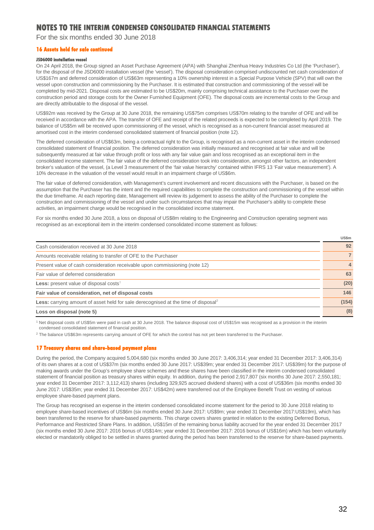For the six months ended 30 June 2018

### **16 Assets held for sale continued**

#### **JSD6000 installation vessel**

On 24 April 2018, the Group signed an Asset Purchase Agreement (APA) with Shanghai Zhenhua Heavy Industries Co Ltd (the 'Purchaser'), for the disposal of the JSD6000 installation vessel (the 'vessel'). The disposal consideration comprised undiscounted net cash consideration of US\$167m and deferred consideration of US\$63m representing a 10% ownership interest in a Special Purpose Vehicle (SPV) that will own the vessel upon construction and commissioning by the Purchaser. It is estimated that construction and commissioning of the vessel will be completed by mid-2021. Disposal costs are estimated to be US\$20m, mainly comprising technical assistance to the Purchaser over the construction period and storage costs for the Owner Furnished Equipment (OFE). The disposal costs are incremental costs to the Group and are directly attributable to the disposal of the vessel.

US\$92m was received by the Group at 30 June 2018, the remaining US\$75m comprises US\$70m relating to the transfer of OFE and will be received in accordance with the APA. The transfer of OFE and receipt of the related proceeds is expected to be completed by April 2019. The balance of US\$5m will be received upon commissioning of the vessel, which is recognised as a non-current financial asset measured at amortised cost in the interim condensed consolidated statement of financial position (note 12).

The deferred consideration of US\$63m, being a contractual right to the Group, is recognised as a non-current asset in the interim condensed consolidated statement of financial position. The deferred consideration was initially measured and recognised at fair value and will be subsequently measured at fair value through profit or loss with any fair value gain and loss recognised as an exceptional item in the consolidated income statement. The fair value of the deferred consideration took into consideration, amongst other factors, an independent broker's valuation of the vessel, (a Level 3 measurement of the 'fair value hierarchy' contained within IFRS 13 'Fair value measurement'). A 10% decrease in the valuation of the vessel would result in an impairment charge of US\$6m.

The fair value of deferred consideration, with Management's current involvement and recent discussions with the Purchaser, is based on the assumption that the Purchaser has the intent and the required capabilities to complete the construction and commissioning of the vessel within the due timeframe. At each reporting date, Management will review its judgement to assess the ability of the Purchaser to complete the construction and commissioning of the vessel and under such circumstances that may impair the Purchaser's ability to complete these activities, an impairment charge would be recognised in the consolidated income statement.

For six months ended 30 June 2018, a loss on disposal of US\$8m relating to the Engineering and Construction operating segment was recognised as an exceptional item in the interim condensed consolidated income statement as follows:

|                                                                                                       | US\$m                   |
|-------------------------------------------------------------------------------------------------------|-------------------------|
| Cash consideration received at 30 June 2018                                                           | 92                      |
| Amounts receivable relating to transfer of OFE to the Purchaser                                       |                         |
| Present value of cash consideration receivable upon commissioning (note 12)                           | $\overline{\mathbf{4}}$ |
| Fair value of deferred consideration                                                                  | 63                      |
| <b>Less:</b> present value of disposal costs <sup>1</sup>                                             | (20)                    |
| Fair value of consideration, net of disposal costs                                                    | 146                     |
| <b>Less:</b> carrying amount of asset held for sale derecognised at the time of disposal <sup>2</sup> | (154)                   |
| Loss on disposal (note 5)                                                                             | (8)                     |

<sup>1</sup> Net disposal costs of US\$5m were paid in cash at 30 June 2018. The balance disposal cost of US\$15m was recognised as a provision in the interim condensed consolidated statement of financial position.

<sup>2</sup> The balance US\$63m represents carrying amount of OFE for which the control has not yet been transferred to the Purchaser.

#### **17 Treasury shares and share-based payment plans**

During the period, the Company acquired 5,004,680 (six months ended 30 June 2017: 3,406,314; year ended 31 December 2017: 3,406,314) of its own shares at a cost of US\$37m (six months ended 30 June 2017: US\$39m; year ended 31 December 2017: US\$39m) for the purpose of making awards under the Group's employee share schemes and these shares have been classified in the interim condensed consolidated statement of financial position as treasury shares within equity. In addition, during the period 2,917,807 (six months 30 June 2017: 2,550,181; year ended 31 December 2017: 3,112,413) shares (including 329,925 accrued dividend shares) with a cost of US\$36m (six months ended 30 June 2017: US\$35m; year ended 31 December 2017: US\$42m) were transferred out of the Employee Benefit Trust on vesting of various employee share-based payment plans.

The Group has recognised an expense in the interim condensed consolidated income statement for the period to 30 June 2018 relating to employee share-based incentives of US\$6m (six months ended 30 June 2017: US\$9m; year ended 31 December 2017:US\$19m), which has been transferred to the reserve for share-based payments. This charge covers shares granted in relation to the existing Deferred Bonus, Performance and Restricted Share Plans. In addition, US\$15m of the remaining bonus liability accrued for the year ended 31 December 2017 (six months ended 30 June 2017: 2016 bonus of US\$14m; year ended 31 December 2017: 2016 bonus of US\$16m) which has been voluntarily elected or mandatorily obliged to be settled in shares granted during the period has been transferred to the reserve for share-based payments.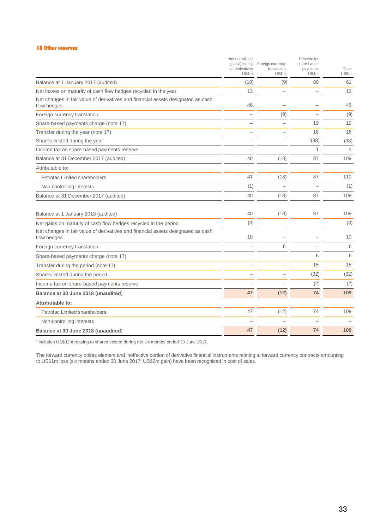#### **18 Other reserves**

|                                                                                                 | Net unrealised<br>gains/(losses)<br>on derivatives<br>US\$m | Foreign currency<br>translation<br>US\$m | Reserve for<br>share-based<br>payments<br>US\$m | Total<br>US\$m |
|-------------------------------------------------------------------------------------------------|-------------------------------------------------------------|------------------------------------------|-------------------------------------------------|----------------|
| Balance at 1 January 2017 (audited)                                                             | (19)                                                        | (9)                                      | 89                                              | 61             |
| Net losses on maturity of cash flow hedges recycled in the year                                 | 13                                                          |                                          |                                                 | 13             |
| Net changes in fair value of derivatives and financial assets designated as cash<br>flow hedges | 46                                                          |                                          |                                                 | 46             |
| Foreign currency translation                                                                    |                                                             | (9)                                      |                                                 | (9)            |
| Share-based payments charge (note 17)                                                           |                                                             | ÷                                        | 19                                              | 19             |
| Transfer during the year (note 17)                                                              |                                                             |                                          | 16                                              | 16             |
| Shares vested during the year                                                                   |                                                             | $\overline{\phantom{0}}$                 | (38)                                            | (38)           |
| Income tax on share-based payments reserve                                                      |                                                             |                                          | 1                                               | 1              |
| Balance at 31 December 2017 (audited)                                                           | 40                                                          | (18)                                     | 87                                              | 109            |
| Attributable to:                                                                                |                                                             |                                          |                                                 |                |
| Petrofac Limited shareholders                                                                   | 41                                                          | (18)                                     | 87                                              | 110            |
| Non-controlling interests                                                                       | (1)                                                         |                                          |                                                 | (1)            |
| Balance at 31 December 2017 (audited)                                                           | 40                                                          | (18)                                     | 87                                              | 109            |
| Balance at 1 January 2018 (audited)                                                             | 40                                                          | (18)                                     | 87                                              | 109            |
| Net gains on maturity of cash flow hedges recycled in the period                                | (3)                                                         | L.                                       |                                                 | (3)            |
| Net changes in fair value of derivatives and financial assets designated as cash<br>flow hedges | 10                                                          | $\overline{\phantom{0}}$                 | $\overline{\phantom{0}}$                        | 10             |
| Foreign currency translation                                                                    |                                                             | 6                                        |                                                 | 6              |
| Share-based payments charge (note 17)                                                           |                                                             |                                          | 6                                               | 6              |
| Transfer during the period (note 17)                                                            |                                                             |                                          | 15                                              | 15             |
| Shares vested during the period                                                                 |                                                             | $\overline{\phantom{0}}$                 | (32)                                            | (32)           |
| Income tax on share-based payments reserve                                                      |                                                             |                                          | (2)                                             | (2)            |
| Balance at 30 June 2018 (unaudited)                                                             | 47                                                          | (12)                                     | 74                                              | 109            |
| Attributable to:                                                                                |                                                             |                                          |                                                 |                |
| Petrofac Limited shareholders                                                                   | 47                                                          | (12)                                     | 74                                              | 109            |
| Non-controlling interests                                                                       |                                                             |                                          |                                                 |                |
| Balance at 30 June 2018 (unaudited)                                                             | 47                                                          | (12)                                     | 74                                              | 109            |

<sup>1</sup> Includes US\$32m relating to shares vested during the six months ended 30 June 2017.

The forward currency points element and ineffective portion of derivative financial instruments relating to forward currency contracts amounting to US\$1m loss (six months ended 30 June 2017: US\$2m gain) have been recognised in cost of sales.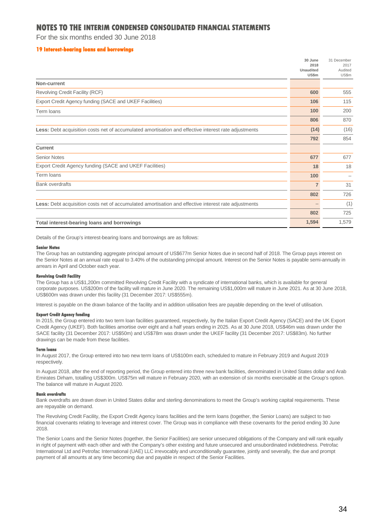For the six months ended 30 June 2018

#### **19 Interest-bearing loans and borrowings**

|                                                                                                             | 30 June<br>2018           | 31 December<br>2017 |
|-------------------------------------------------------------------------------------------------------------|---------------------------|---------------------|
|                                                                                                             | <b>Unaudited</b><br>US\$m | Audited<br>US\$m    |
| Non-current                                                                                                 |                           |                     |
| Revolving Credit Facility (RCF)                                                                             | 600                       | 555                 |
| Export Credit Agency funding (SACE and UKEF Facilities)                                                     | 106                       | 115                 |
| Term loans                                                                                                  | 100                       | 200                 |
|                                                                                                             | 806                       | 870                 |
| <b>Less:</b> Debt acquisition costs net of accumulated amortisation and effective interest rate adjustments | (14)                      | (16)                |
|                                                                                                             | 792                       | 854                 |
| <b>Current</b>                                                                                              |                           |                     |
| <b>Senior Notes</b>                                                                                         | 677                       | 677                 |
| Export Credit Agency funding (SACE and UKEF Facilities)                                                     | 18                        | 18                  |
| Term loans                                                                                                  | 100                       |                     |
| <b>Bank overdrafts</b>                                                                                      | $\overline{7}$            | 31                  |
|                                                                                                             | 802                       | 726                 |
| <b>Less:</b> Debt acquisition costs net of accumulated amortisation and effective interest rate adjustments | $\overline{\phantom{a}}$  | (1)                 |
|                                                                                                             | 802                       | 725                 |
| Total interest-bearing loans and borrowings                                                                 | 1,594                     | 1,579               |

Details of the Group's interest-bearing loans and borrowings are as follows:

#### **Senior Notes**

The Group has an outstanding aggregate principal amount of US\$677m Senior Notes due in second half of 2018. The Group pays interest on the Senior Notes at an annual rate equal to 3.40% of the outstanding principal amount. Interest on the Senior Notes is payable semi-annually in arrears in April and October each year.

#### **Revolving Credit Facility**

The Group has a US\$1,200m committed Revolving Credit Facility with a syndicate of international banks, which is available for general corporate purposes. US\$200m of the facility will mature in June 2020. The remaining US\$1,000m will mature in June 2021. As at 30 June 2018, US\$600m was drawn under this facility (31 December 2017: US\$555m).

Interest is payable on the drawn balance of the facility and in addition utilisation fees are payable depending on the level of utilisation.

#### **Export Credit Agency funding**

In 2015, the Group entered into two term loan facilities guaranteed, respectively, by the Italian Export Credit Agency (SACE) and the UK Export Credit Agency (UKEF). Both facilities amortise over eight and a half years ending in 2025. As at 30 June 2018, US\$46m was drawn under the SACE facility (31 December 2017: US\$50m) and US\$78m was drawn under the UKEF facility (31 December 2017: US\$83m). No further drawings can be made from these facilities.

#### **Term loans**

In August 2017, the Group entered into two new term loans of US\$100m each, scheduled to mature in February 2019 and August 2019 respectively.

In August 2018, after the end of reporting period, the Group entered into three new bank facilities, denominated in United States dollar and Arab Emirates Dirham, totalling US\$300m. US\$75m will mature in February 2020, with an extension of six months exercisable at the Group's option. The balance will mature in August 2020.

#### **Bank overdrafts**

Bank overdrafts are drawn down in United States dollar and sterling denominations to meet the Group's working capital requirements. These are repayable on demand.

The Revolving Credit Facility, the Export Credit Agency loans facilities and the term loans (together, the Senior Loans) are subject to two financial covenants relating to leverage and interest cover. The Group was in compliance with these covenants for the period ending 30 June 2018.

The Senior Loans and the Senior Notes (together, the Senior Facilities) are senior unsecured obligations of the Company and will rank equally in right of payment with each other and with the Company's other existing and future unsecured and unsubordinated indebtedness. Petrofac International Ltd and Petrofac International (UAE) LLC irrevocably and unconditionally guarantee, jointly and severally, the due and prompt payment of all amounts at any time becoming due and payable in respect of the Senior Facilities.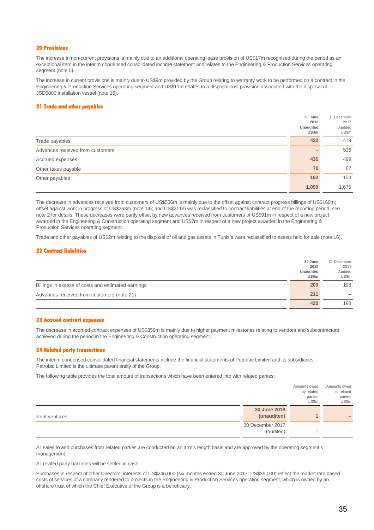#### **20 Provisions**

The increase in non-current provisions is mainly due to an additional operating lease provision of US\$17m recognised during the period as an exceptional item in the interim condensed consolidated income statement and relates to the Engineering & Production Services operating segment (note 5).

The increase in current provisions is mainly due to US\$9m provided by the Group relating to warranty work to be performed on a contract in the Engineering & Production Services operating segment and US\$11m relates to a disposal cost provision associated with the disposal of JSD6000 installation vessel (note 16).

#### **21 Trade and other payables**

|                                  | 30 June<br>2018<br><b>Unaudited</b><br>US\$m | 31 December<br>2017<br>Audited<br>US\$m |
|----------------------------------|----------------------------------------------|-----------------------------------------|
| Trade payables                   | 422                                          | 419                                     |
| Advances received from customers |                                              | 536                                     |
| Accrued expenses                 | 436                                          | 499                                     |
| Other taxes payable              | 70                                           | 67                                      |
| Other payables                   | 162                                          | 154                                     |
|                                  | 1,090                                        | 1,675                                   |

The decrease in advances received from customers of US\$536m is mainly due to the offset against contract progress billings of US\$160m; offset against work in progress of US\$263m (note 14); and US\$211m was reclassified to contract liabilities at end of the reporting period, see note 2 for details. These decreases were partly offset by new advances received from customers of US\$91m in respect of a new project awarded in the Engineering & Construction operating segment and US\$7m in respect of a new project awarded in the Engineering & Production Services operating segment.

Trade and other payables of US\$2m relating to the disposal of oil and gas assets in Tunisia were reclassified to assets held for sale (note 16).

#### **22 Contract liabilities**

|                                                    | 30 June          | 31 December |
|----------------------------------------------------|------------------|-------------|
|                                                    | 2018             | 2017        |
|                                                    | <b>Unaudited</b> | Audited     |
|                                                    | <b>US\$m</b>     | US\$m       |
| Billings in excess of costs and estimated earnings | 209              | 198         |
| Advances received from customers (note 21)         | 211              |             |
|                                                    | 420              | 198         |

#### **23 Accrued contract expenses**

The decrease in accrued contract expenses of US\$359m is mainly due to higher payment milestones relating to vendors and subcontractors achieved during the period in the Engineering & Construction operating segment.

#### **24 Related party transactions**

The interim condensed consolidated financial statements include the financial statements of Petrofac Limited and its subsidiaries. Petrofac Limited is the ultimate parent entity of the Group.

The following table provides the total amount of transactions which have been entered into with related parties:

|                |                  | Amounts owed | Amounts owed |
|----------------|------------------|--------------|--------------|
|                |                  | by related   | to related   |
|                |                  | parties      | parties      |
|                |                  | US\$m        | US\$m        |
|                | 30 June 2018     |              |              |
| Joint ventures | (unaudited)      |              |              |
|                | 30 December 2017 |              |              |
|                | (audited)        |              |              |

All sales to and purchases from related parties are conducted on an arm's length basis and are approved by the operating segment's management.

All related party balances will be settled in cash.

Purchases in respect of other Directors' interests of US\$246,000 (six months ended 30 June 2017: US\$35,000) reflect the market rate based costs of services of a company rendered to projects in the Engineering & Production Services operating segment, which is owned by an offshore trust of which the Chief Executive of the Group is a beneficiary.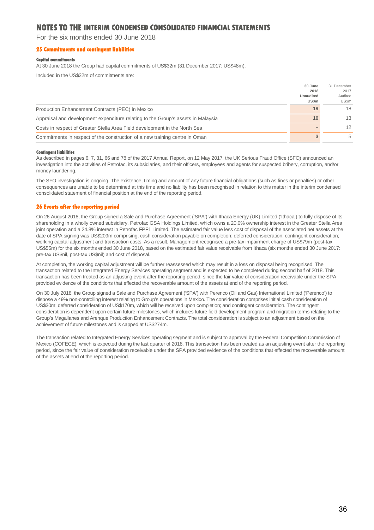For the six months ended 30 June 2018

#### **25 Commitments and contingent liabilities**

#### **Capital commitments**

At 30 June 2018 the Group had capital commitments of US\$32m (31 December 2017: US\$48m).

Included in the US\$32m of commitments are:

|                                                                                  | 30 June          | 31 December |
|----------------------------------------------------------------------------------|------------------|-------------|
|                                                                                  | 2018             | 2017        |
|                                                                                  | <b>Unaudited</b> | Audited     |
|                                                                                  | <b>US\$m</b>     | US\$m       |
| Production Enhancement Contracts (PEC) in Mexico                                 | 19               | 18          |
| Appraisal and development expenditure relating to the Group's assets in Malaysia | 10               | 13          |
| Costs in respect of Greater Stella Area Field development in the North Sea       |                  | 12          |
| Commitments in respect of the construction of a new training centre in Oman      |                  | 5           |

#### **Contingent liabilities**

As described in pages 6, 7, 31, 66 and 78 of the 2017 Annual Report, on 12 May 2017, the UK Serious Fraud Office (SFO) announced an investigation into the activities of Petrofac, its subsidiaries, and their officers, employees and agents for suspected bribery, corruption, and/or money laundering.

The SFO investigation is ongoing. The existence, timing and amount of any future financial obligations (such as fines or penalties) or other consequences are unable to be determined at this time and no liability has been recognised in relation to this matter in the interim condensed consolidated statement of financial position at the end of the reporting period.

#### **26 Events after the reporting period**

On 26 August 2018, the Group signed a Sale and Purchase Agreement ('SPA') with Ithaca Energy (UK) Limited ('Ithaca') to fully dispose of its shareholding in a wholly owned subsidiary, Petrofac GSA Holdings Limited, which owns a 20.0% ownership interest in the Greater Stella Area joint operation and a 24.8% interest in Petrofac FPF1 Limited. The estimated fair value less cost of disposal of the associated net assets at the date of SPA signing was US\$209m comprising; cash consideration payable on completion; deferred consideration; contingent consideration; working capital adjustment and transaction costs. As a result, Management recognised a pre-tax impairment charge of US\$79m (post-tax US\$55m) for the six months ended 30 June 2018, based on the estimated fair value receivable from Ithaca (six months ended 30 June 2017: pre-tax US\$nil, post-tax US\$nil) and cost of disposal.

At completion, the working capital adjustment will be further reassessed which may result in a loss on disposal being recognised. The transaction related to the Integrated Energy Services operating segment and is expected to be completed during second half of 2018. This transaction has been treated as an adjusting event after the reporting period, since the fair value of consideration receivable under the SPA provided evidence of the conditions that effected the recoverable amount of the assets at end of the reporting period.

On 30 July 2018, the Group signed a Sale and Purchase Agreement ('SPA') with Perenco (Oil and Gas) International Limited ('Perenco') to dispose a 49% non-controlling interest relating to Group's operations in Mexico. The consideration comprises initial cash consideration of US\$30m; deferred consideration of US\$170m, which will be received upon completion; and contingent consideration. The contingent consideration is dependent upon certain future milestones, which includes future field development program and migration terms relating to the Group's Magallanes and Arenque Production Enhancement Contracts. The total consideration is subject to an adjustment based on the achievement of future milestones and is capped at US\$274m.

The transaction related to Integrated Energy Services operating segment and is subject to approval by the Federal Competition Commission of Mexico (COFECE), which is expected during the last quarter of 2018. This transaction has been treated as an adjusting event after the reporting period, since the fair value of consideration receivable under the SPA provided evidence of the conditions that effected the recoverable amount of the assets at end of the reporting period.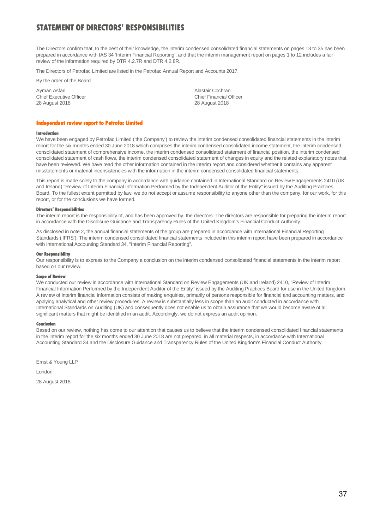## **STATEMENT OF DIRECTORS' RESPONSIBILITIES**

The Directors confirm that, to the best of their knowledge, the interim condensed consolidated financial statements on pages 13 to 35 has been prepared in accordance with IAS 34 'Interim Financial Reporting', and that the interim management report on pages 1 to 12 includes a fair review of the information required by DTR 4.2.7R and DTR 4.2.8R.

The Directors of Petrofac Limited are listed in the Petrofac Annual Report and Accounts 2017.

By the order of the Board

Ayman Asfari **Alastair Cochran** Alastair Cochran Alastair Cochran Alastair Cochran Alastair Cochran Alastair Cochran Chief Executive Officer<br>
28 August 2018<br>
28 August 2018

28 August 2018

#### **Independent review report to Petrofac Limited**

### **Introduction**

We have been engaged by Petrofac Limited ('the Company') to review the interim condensed consolidated financial statements in the interim report for the six months ended 30 June 2018 which comprises the interim condensed consolidated income statement, the interim condensed consolidated statement of comprehensive income, the interim condensed consolidated statement of financial position, the interim condensed consolidated statement of cash flows, the interim condensed consolidated statement of changes in equity and the related explanatory notes that have been reviewed. We have read the other information contained in the interim report and considered whether it contains any apparent misstatements or material inconsistencies with the information in the interim condensed consolidated financial statements.

This report is made solely to the company in accordance with guidance contained in International Standard on Review Engagements 2410 (UK and Ireland) "Review of Interim Financial Information Performed by the Independent Auditor of the Entity" issued by the Auditing Practices Board. To the fullest extent permitted by law, we do not accept or assume responsibility to anyone other than the company, for our work, for this report, or for the conclusions we have formed.

#### **Directors' Responsibilities**

The interim report is the responsibility of, and has been approved by, the directors. The directors are responsible for preparing the interim report in accordance with the Disclosure Guidance and Transparency Rules of the United Kingdom's Financial Conduct Authority.

As disclosed in note 2, the annual financial statements of the group are prepared in accordance with International Financial Reporting Standards ('IFRS'). The interim condensed consolidated financial statements included in this interim report have been prepared in accordance with International Accounting Standard 34, "Interim Financial Reporting".

#### **Our Responsibility**

Our responsibility is to express to the Company a conclusion on the interim condensed consolidated financial statements in the interim report based on our review.

#### **Scope of Review**

We conducted our review in accordance with International Standard on Review Engagements (UK and Ireland) 2410, "Review of Interim Financial Information Performed by the Independent Auditor of the Entity" issued by the Auditing Practices Board for use in the United Kingdom. A review of interim financial information consists of making enquiries, primarily of persons responsible for financial and accounting matters, and applying analytical and other review procedures. A review is substantially less in scope than an audit conducted in accordance with International Standards on Auditing (UK) and consequently does not enable us to obtain assurance that we would become aware of all significant matters that might be identified in an audit. Accordingly, we do not express an audit opinion.

#### **Conclusion**

Based on our review, nothing has come to our attention that causes us to believe that the interim condensed consolidated financial statements in the interim report for the six months ended 30 June 2018 are not prepared, in all material respects, in accordance with International Accounting Standard 34 and the Disclosure Guidance and Transparency Rules of the United Kingdom's Financial Conduct Authority.

Ernst & Young LLP

London

28 August 2018